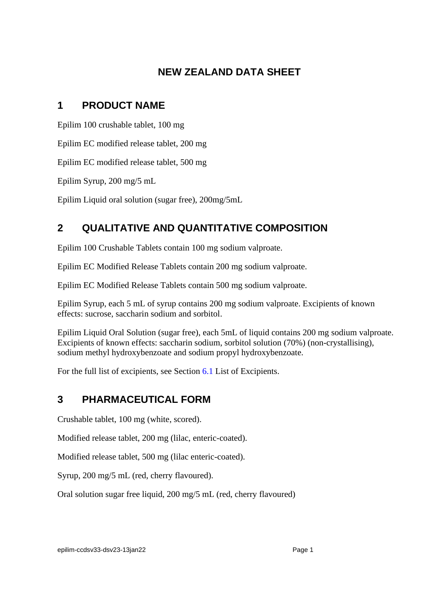# **NEW ZEALAND DATA SHEET**

# **1 PRODUCT NAME**

Epilim 100 crushable tablet, 100 mg

Epilim EC modified release tablet, 200 mg

Epilim EC modified release tablet, 500 mg

Epilim Syrup, 200 mg/5 mL

Epilim Liquid oral solution (sugar free), 200mg/5mL

# **2 QUALITATIVE AND QUANTITATIVE COMPOSITION**

Epilim 100 Crushable Tablets contain 100 mg sodium valproate.

Epilim EC Modified Release Tablets contain 200 mg sodium valproate.

Epilim EC Modified Release Tablets contain 500 mg sodium valproate.

Epilim Syrup, each 5 mL of syrup contains 200 mg sodium valproate. Excipients of known effects: sucrose, saccharin sodium and sorbitol.

Epilim Liquid Oral Solution (sugar free), each 5mL of liquid contains 200 mg sodium valproate. Excipients of known effects: saccharin sodium, sorbitol solution (70%) (non-crystallising), sodium methyl hydroxybenzoate and sodium propyl hydroxybenzoate.

For the full list of excipients, see Section [6.1](#page-38-0) List of Excipients.

# **3 PHARMACEUTICAL FORM**

Crushable tablet, 100 mg (white, scored).

Modified release tablet, 200 mg (lilac, enteric-coated).

Modified release tablet, 500 mg (lilac enteric-coated).

Syrup, 200 mg/5 mL (red, cherry flavoured).

Oral solution sugar free liquid, 200 mg/5 mL (red, cherry flavoured)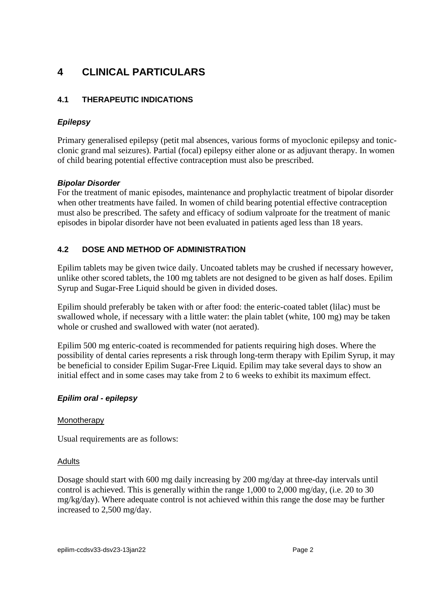# **4 CLINICAL PARTICULARS**

# **4.1 THERAPEUTIC INDICATIONS**

# *Epilepsy*

Primary generalised epilepsy (petit mal absences, various forms of myoclonic epilepsy and tonicclonic grand mal seizures). Partial (focal) epilepsy either alone or as adjuvant therapy. In women of child bearing potential effective contraception must also be prescribed.

## *Bipolar Disorder*

For the treatment of manic episodes, maintenance and prophylactic treatment of bipolar disorder when other treatments have failed. In women of child bearing potential effective contraception must also be prescribed. The safety and efficacy of sodium valproate for the treatment of manic episodes in bipolar disorder have not been evaluated in patients aged less than 18 years.

# **4.2 DOSE AND METHOD OF ADMINISTRATION**

Epilim tablets may be given twice daily. Uncoated tablets may be crushed if necessary however, unlike other scored tablets, the 100 mg tablets are not designed to be given as half doses. Epilim Syrup and Sugar-Free Liquid should be given in divided doses.

Epilim should preferably be taken with or after food: the enteric-coated tablet (lilac) must be swallowed whole, if necessary with a little water: the plain tablet (white, 100 mg) may be taken whole or crushed and swallowed with water (not aerated).

Epilim 500 mg enteric-coated is recommended for patients requiring high doses. Where the possibility of dental caries represents a risk through long-term therapy with Epilim Syrup, it may be beneficial to consider Epilim Sugar-Free Liquid. Epilim may take several days to show an initial effect and in some cases may take from 2 to 6 weeks to exhibit its maximum effect.

## *Epilim oral - epilepsy*

## **Monotherapy**

Usual requirements are as follows:

## **Adults**

Dosage should start with 600 mg daily increasing by 200 mg/day at three-day intervals until control is achieved. This is generally within the range 1,000 to 2,000 mg/day, (i.e. 20 to 30 mg/kg/day). Where adequate control is not achieved within this range the dose may be further increased to 2,500 mg/day.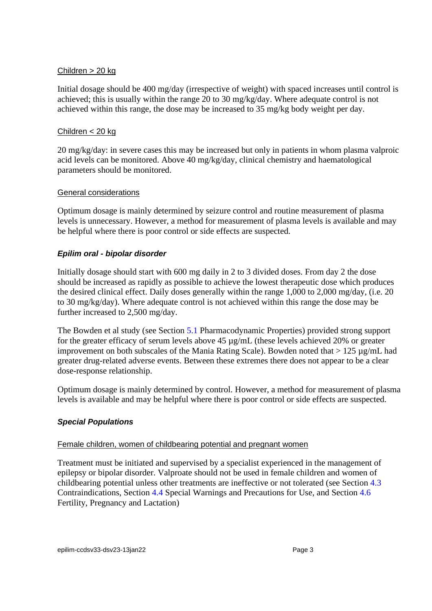#### Children > 20 kg

Initial dosage should be 400 mg/day (irrespective of weight) with spaced increases until control is achieved; this is usually within the range 20 to 30 mg/kg/day. Where adequate control is not achieved within this range, the dose may be increased to 35 mg/kg body weight per day.

#### Children < 20 kg

20 mg/kg/day: in severe cases this may be increased but only in patients in whom plasma valproic acid levels can be monitored. Above 40 mg/kg/day, clinical chemistry and haematological parameters should be monitored.

#### General considerations

Optimum dosage is mainly determined by seizure control and routine measurement of plasma levels is unnecessary. However, a method for measurement of plasma levels is available and may be helpful where there is poor control or side effects are suspected.

## *Epilim oral - bipolar disorder*

Initially dosage should start with 600 mg daily in 2 to 3 divided doses. From day 2 the dose should be increased as rapidly as possible to achieve the lowest therapeutic dose which produces the desired clinical effect. Daily doses generally within the range 1,000 to 2,000 mg/day, (i.e. 20 to 30 mg/kg/day). Where adequate control is not achieved within this range the dose may be further increased to 2,500 mg/day.

The Bowden et al study (see Section [5.1](#page-33-0) Pharmacodynamic Properties) provided strong support for the greater efficacy of serum levels above 45 µg/mL (these levels achieved 20% or greater improvement on both subscales of the Mania Rating Scale). Bowden noted that  $> 125 \mu g/mL$  had greater drug-related adverse events. Between these extremes there does not appear to be a clear dose-response relationship.

Optimum dosage is mainly determined by control. However, a method for measurement of plasma levels is available and may be helpful where there is poor control or side effects are suspected.

## *Special Populations*

#### Female children, women of childbearing potential and pregnant women

Treatment must be initiated and supervised by a specialist experienced in the management of epilepsy or bipolar disorder. Valproate should not be used in female children and women of childbearing potential unless other treatments are ineffective or not tolerated (see Section [4.3](#page-3-0) Contraindications, Section [4.4](#page-4-0) Special Warnings and Precautions for Use, and Section [4.6](#page-21-0) Fertility, Pregnancy and Lactation)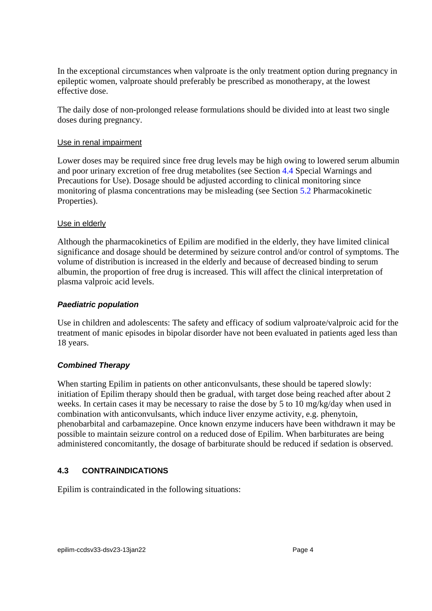In the exceptional circumstances when valproate is the only treatment option during pregnancy in epileptic women, valproate should preferably be prescribed as monotherapy, at the lowest effective dose.

The daily dose of non-prolonged release formulations should be divided into at least two single doses during pregnancy.

#### Use in renal impairment

Lower doses may be required since free drug levels may be high owing to lowered serum albumin and poor urinary excretion of free drug metabolites (see Section [4.4](#page-4-0) Special Warnings and Precautions for Use). Dosage should be adjusted according to clinical monitoring since monitoring of plasma concentrations may be misleading (see Section [5.2](#page-35-0) Pharmacokinetic Properties).

#### Use in elderly

Although the pharmacokinetics of Epilim are modified in the elderly, they have limited clinical significance and dosage should be determined by seizure control and/or control of symptoms. The volume of distribution is increased in the elderly and because of decreased binding to serum albumin, the proportion of free drug is increased. This will affect the clinical interpretation of plasma valproic acid levels.

#### *Paediatric population*

Use in children and adolescents: The safety and efficacy of sodium valproate/valproic acid for the treatment of manic episodes in bipolar disorder have not been evaluated in patients aged less than 18 years.

## *Combined Therapy*

When starting Epilim in patients on other anticonvulsants, these should be tapered slowly: initiation of Epilim therapy should then be gradual, with target dose being reached after about 2 weeks. In certain cases it may be necessary to raise the dose by 5 to 10 mg/kg/day when used in combination with anticonvulsants, which induce liver enzyme activity, e.g. phenytoin, phenobarbital and carbamazepine. Once known enzyme inducers have been withdrawn it may be possible to maintain seizure control on a reduced dose of Epilim. When barbiturates are being administered concomitantly, the dosage of barbiturate should be reduced if sedation is observed.

## <span id="page-3-0"></span>**4.3 CONTRAINDICATIONS**

Epilim is contraindicated in the following situations: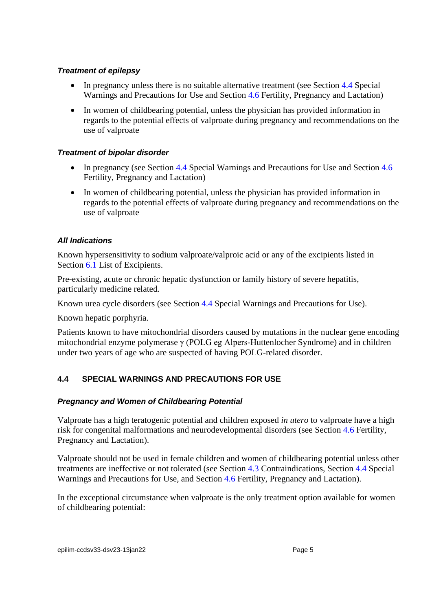## *Treatment of epilepsy*

- In pregnancy unless there is no suitable alternative treatment (see Section [4.4](#page-4-0) Special Warnings and Precautions for Use and Section [4.6](#page-21-0) Fertility, Pregnancy and Lactation)
- In women of childbearing potential, unless the physician has provided information in regards to the potential effects of valproate during pregnancy and recommendations on the use of valproate

#### *Treatment of bipolar disorder*

- In pregnancy (see Section [4.4](#page-4-0) Special Warnings and Precautions for Use and Section [4.6](#page-21-0) Fertility, Pregnancy and Lactation)
- In women of childbearing potential, unless the physician has provided information in regards to the potential effects of valproate during pregnancy and recommendations on the use of valproate

## *All Indications*

Known hypersensitivity to sodium valproate/valproic acid or any of the excipients listed in Section [6.1](#page-38-0) List of Excipients.

Pre-existing, acute or chronic hepatic dysfunction or family history of severe hepatitis, particularly medicine related.

Known urea cycle disorders (see Section [4.4](#page-4-0) Special Warnings and Precautions for Use).

Known hepatic porphyria.

Patients known to have mitochondrial disorders caused by mutations in the nuclear gene encoding mitochondrial enzyme polymerase γ (POLG eg Alpers-Huttenlocher Syndrome) and in children under two years of age who are suspected of having POLG-related disorder.

# <span id="page-4-0"></span>**4.4 SPECIAL WARNINGS AND PRECAUTIONS FOR USE**

## *Pregnancy and Women of Childbearing Potential*

Valproate has a high teratogenic potential and children exposed *in utero* to valproate have a high risk for congenital malformations and neurodevelopmental disorders (see Section [4.6](#page-21-0) Fertility, Pregnancy and Lactation).

Valproate should not be used in female children and women of childbearing potential unless other treatments are ineffective or not tolerated (see Section [4.3](#page-3-0) Contraindications, Section [4.4](#page-4-0) Special Warnings and Precautions for Use, and Section [4.6](#page-21-0) Fertility, Pregnancy and Lactation).

In the exceptional circumstance when valproate is the only treatment option available for women of childbearing potential: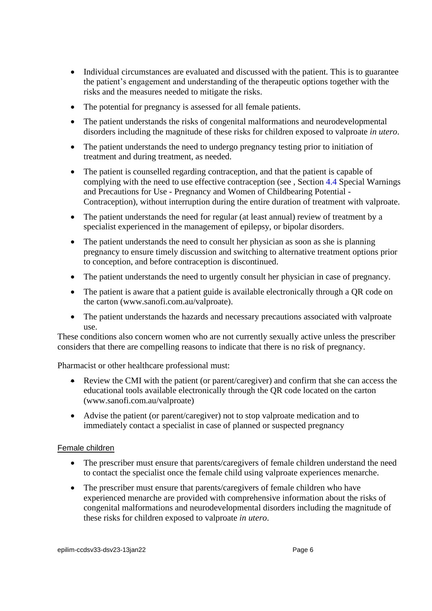- Individual circumstances are evaluated and discussed with the patient. This is to guarantee the patient's engagement and understanding of the therapeutic options together with the risks and the measures needed to mitigate the risks.
- The potential for pregnancy is assessed for all female patients.
- The patient understands the risks of congenital malformations and neurodevelopmental disorders including the magnitude of these risks for children exposed to valproate *in utero*.
- The patient understands the need to undergo pregnancy testing prior to initiation of treatment and during treatment, as needed.
- The patient is counselled regarding contraception, and that the patient is capable of complying with the need to use effective contraception (see , Section [4.4](#page-4-0) Special Warnings and Precautions for Use - Pregnancy and Women of Childbearing Potential - Contraception), without interruption during the entire duration of treatment with valproate.
- The patient understands the need for regular (at least annual) review of treatment by a specialist experienced in the management of epilepsy, or bipolar disorders.
- The patient understands the need to consult her physician as soon as she is planning pregnancy to ensure timely discussion and switching to alternative treatment options prior to conception, and before contraception is discontinued.
- The patient understands the need to urgently consult her physician in case of pregnancy.
- The patient is aware that a patient guide is available electronically through a QR code on the carton (www.sanofi.com.au/valproate).
- The patient understands the hazards and necessary precautions associated with valproate use.

These conditions also concern women who are not currently sexually active unless the prescriber considers that there are compelling reasons to indicate that there is no risk of pregnancy.

Pharmacist or other healthcare professional must:

- Review the CMI with the patient (or parent/caregiver) and confirm that she can access the educational tools available electronically through the QR code located on the carton (www.sanofi.com.au/valproate)
- Advise the patient (or parent/caregiver) not to stop valproate medication and to immediately contact a specialist in case of planned or suspected pregnancy

## Female children

- The prescriber must ensure that parents/caregivers of female children understand the need to contact the specialist once the female child using valproate experiences menarche.
- The prescriber must ensure that parents/caregivers of female children who have experienced menarche are provided with comprehensive information about the risks of congenital malformations and neurodevelopmental disorders including the magnitude of these risks for children exposed to valproate *in utero*.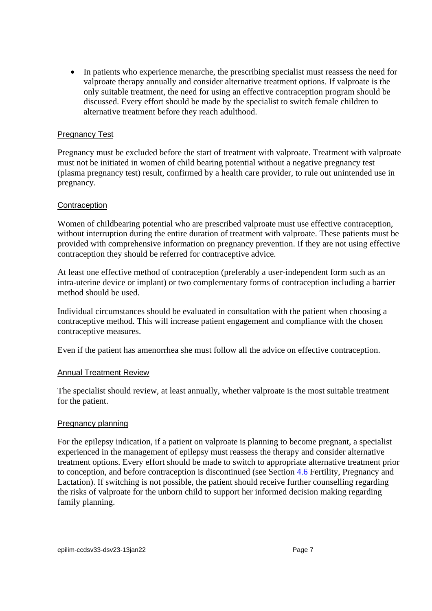• In patients who experience menarche, the prescribing specialist must reassess the need for valproate therapy annually and consider alternative treatment options. If valproate is the only suitable treatment, the need for using an effective contraception program should be discussed. Every effort should be made by the specialist to switch female children to alternative treatment before they reach adulthood.

#### Pregnancy Test

Pregnancy must be excluded before the start of treatment with valproate. Treatment with valproate must not be initiated in women of child bearing potential without a negative pregnancy test (plasma pregnancy test) result, confirmed by a health care provider, to rule out unintended use in pregnancy.

#### **Contraception**

Women of childbearing potential who are prescribed valproate must use effective contraception, without interruption during the entire duration of treatment with valproate. These patients must be provided with comprehensive information on pregnancy prevention. If they are not using effective contraception they should be referred for contraceptive advice.

At least one effective method of contraception (preferably a user-independent form such as an intra-uterine device or implant) or two complementary forms of contraception including a barrier method should be used.

Individual circumstances should be evaluated in consultation with the patient when choosing a contraceptive method. This will increase patient engagement and compliance with the chosen contraceptive measures.

Even if the patient has amenorrhea she must follow all the advice on effective contraception.

#### Annual Treatment Review

The specialist should review, at least annually, whether valproate is the most suitable treatment for the patient.

#### **Pregnancy planning**

For the epilepsy indication, if a patient on valproate is planning to become pregnant, a specialist experienced in the management of epilepsy must reassess the therapy and consider alternative treatment options. Every effort should be made to switch to appropriate alternative treatment prior to conception, and before contraception is discontinued (see Section [4.6](#page-21-0) Fertility, Pregnancy and Lactation). If switching is not possible, the patient should receive further counselling regarding the risks of valproate for the unborn child to support her informed decision making regarding family planning.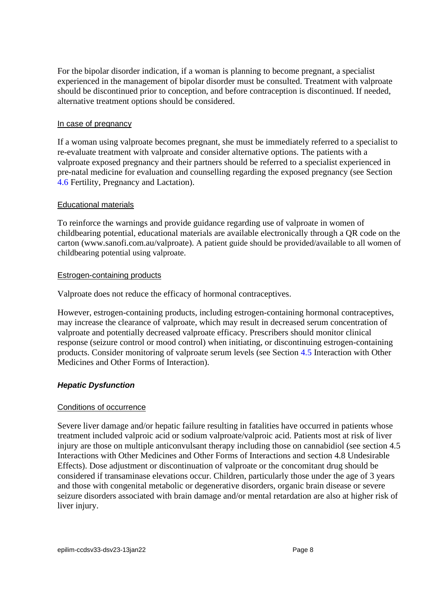For the bipolar disorder indication, if a woman is planning to become pregnant, a specialist experienced in the management of bipolar disorder must be consulted. Treatment with valproate should be discontinued prior to conception, and before contraception is discontinued. If needed, alternative treatment options should be considered.

#### In case of pregnancy

If a woman using valproate becomes pregnant, she must be immediately referred to a specialist to re-evaluate treatment with valproate and consider alternative options. The patients with a valproate exposed pregnancy and their partners should be referred to a specialist experienced in pre-natal medicine for evaluation and counselling regarding the exposed pregnancy (see Section [4.6](#page-21-0) Fertility, Pregnancy and Lactation).

#### Educational materials

To reinforce the warnings and provide guidance regarding use of valproate in women of childbearing potential, educational materials are available electronically through a QR code on the carton (www.sanofi.com.au/valproate). A patient guide should be provided/available to all women of childbearing potential using valproate.

#### Estrogen-containing products

Valproate does not reduce the efficacy of hormonal contraceptives.

However, estrogen-containing products, including estrogen-containing hormonal contraceptives, may increase the clearance of valproate, which may result in decreased serum concentration of valproate and potentially decreased valproate efficacy. Prescribers should monitor clinical response (seizure control or mood control) when initiating, or discontinuing estrogen-containing products. Consider monitoring of valproate serum levels (see Section [4.5](#page-14-0) Interaction with Other Medicines and Other Forms of Interaction).

## *Hepatic Dysfunction*

#### Conditions of occurrence

Severe liver damage and/or hepatic failure resulting in fatalities have occurred in patients whose treatment included valproic acid or sodium valproate/valproic acid. Patients most at risk of liver injury are those on multiple anticonvulsant therapy including those on cannabidiol (see section [4.5](#page-14-0) Interactions with Other Medicines and Other Forms of Interactions and section [4.8](#page-26-0) Undesirable Effects). Dose adjustment or discontinuation of valproate or the concomitant drug should be considered if transaminase elevations occur. Children, particularly those under the age of 3 years and those with congenital metabolic or degenerative disorders, organic brain disease or severe seizure disorders associated with brain damage and/or mental retardation are also at higher risk of liver injury.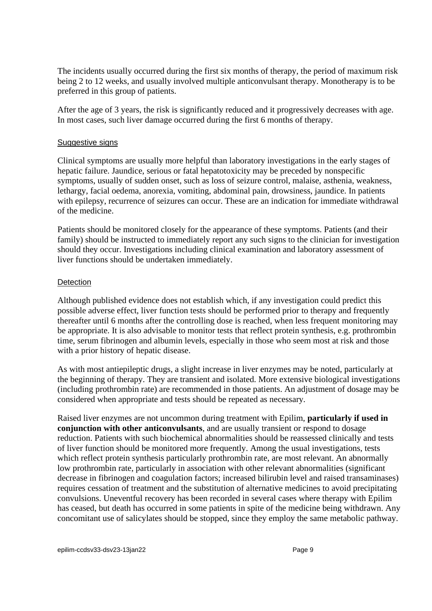The incidents usually occurred during the first six months of therapy, the period of maximum risk being 2 to 12 weeks, and usually involved multiple anticonvulsant therapy. Monotherapy is to be preferred in this group of patients.

After the age of 3 years, the risk is significantly reduced and it progressively decreases with age. In most cases, such liver damage occurred during the first 6 months of therapy.

#### Suggestive signs

Clinical symptoms are usually more helpful than laboratory investigations in the early stages of hepatic failure. Jaundice, serious or fatal hepatotoxicity may be preceded by nonspecific symptoms, usually of sudden onset, such as loss of seizure control, malaise, asthenia, weakness, lethargy, facial oedema, anorexia, vomiting, abdominal pain, drowsiness, jaundice. In patients with epilepsy, recurrence of seizures can occur. These are an indication for immediate withdrawal of the medicine.

Patients should be monitored closely for the appearance of these symptoms. Patients (and their family) should be instructed to immediately report any such signs to the clinician for investigation should they occur. Investigations including clinical examination and laboratory assessment of liver functions should be undertaken immediately.

#### **Detection**

Although published evidence does not establish which, if any investigation could predict this possible adverse effect, liver function tests should be performed prior to therapy and frequently thereafter until 6 months after the controlling dose is reached, when less frequent monitoring may be appropriate. It is also advisable to monitor tests that reflect protein synthesis, e.g. prothrombin time, serum fibrinogen and albumin levels, especially in those who seem most at risk and those with a prior history of hepatic disease.

As with most antiepileptic drugs, a slight increase in liver enzymes may be noted, particularly at the beginning of therapy. They are transient and isolated. More extensive biological investigations (including prothrombin rate) are recommended in those patients. An adjustment of dosage may be considered when appropriate and tests should be repeated as necessary.

Raised liver enzymes are not uncommon during treatment with Epilim, **particularly if used in conjunction with other anticonvulsants**, and are usually transient or respond to dosage reduction. Patients with such biochemical abnormalities should be reassessed clinically and tests of liver function should be monitored more frequently. Among the usual investigations, tests which reflect protein synthesis particularly prothrombin rate, are most relevant. An abnormally low prothrombin rate, particularly in association with other relevant abnormalities (significant decrease in fibrinogen and coagulation factors; increased bilirubin level and raised transaminases) requires cessation of treatment and the substitution of alternative medicines to avoid precipitating convulsions. Uneventful recovery has been recorded in several cases where therapy with Epilim has ceased, but death has occurred in some patients in spite of the medicine being withdrawn. Any concomitant use of salicylates should be stopped, since they employ the same metabolic pathway.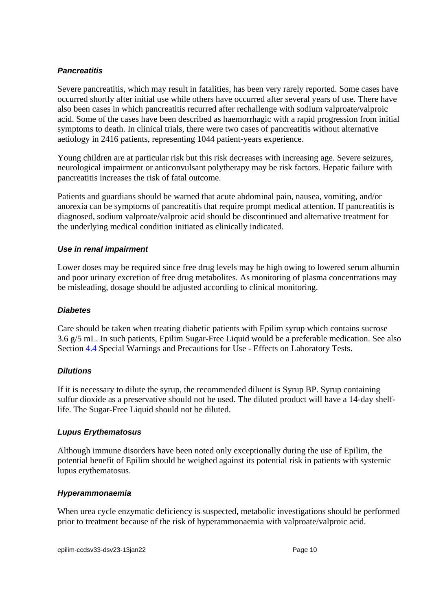## *Pancreatitis*

Severe pancreatitis, which may result in fatalities, has been very rarely reported. Some cases have occurred shortly after initial use while others have occurred after several years of use. There have also been cases in which pancreatitis recurred after rechallenge with sodium valproate/valproic acid. Some of the cases have been described as haemorrhagic with a rapid progression from initial symptoms to death. In clinical trials, there were two cases of pancreatitis without alternative aetiology in 2416 patients, representing 1044 patient-years experience.

Young children are at particular risk but this risk decreases with increasing age. Severe seizures, neurological impairment or anticonvulsant polytherapy may be risk factors. Hepatic failure with pancreatitis increases the risk of fatal outcome.

Patients and guardians should be warned that acute abdominal pain, nausea, vomiting, and/or anorexia can be symptoms of pancreatitis that require prompt medical attention. If pancreatitis is diagnosed, sodium valproate/valproic acid should be discontinued and alternative treatment for the underlying medical condition initiated as clinically indicated.

## *Use in renal impairment*

Lower doses may be required since free drug levels may be high owing to lowered serum albumin and poor urinary excretion of free drug metabolites. As monitoring of plasma concentrations may be misleading, dosage should be adjusted according to clinical monitoring.

## *Diabetes*

Care should be taken when treating diabetic patients with Epilim syrup which contains sucrose 3.6 g/5 mL. In such patients, Epilim Sugar-Free Liquid would be a preferable medication. See also Section [4.4](#page-4-0) Special Warnings and Precautions for Use - Effects on Laboratory Tests.

## *Dilutions*

If it is necessary to dilute the syrup, the recommended diluent is Syrup BP. Syrup containing sulfur dioxide as a preservative should not be used. The diluted product will have a 14-day shelflife. The Sugar-Free Liquid should not be diluted.

## *Lupus Erythematosus*

Although immune disorders have been noted only exceptionally during the use of Epilim, the potential benefit of Epilim should be weighed against its potential risk in patients with systemic lupus erythematosus.

## *Hyperammonaemia*

When urea cycle enzymatic deficiency is suspected, metabolic investigations should be performed prior to treatment because of the risk of hyperammonaemia with valproate/valproic acid.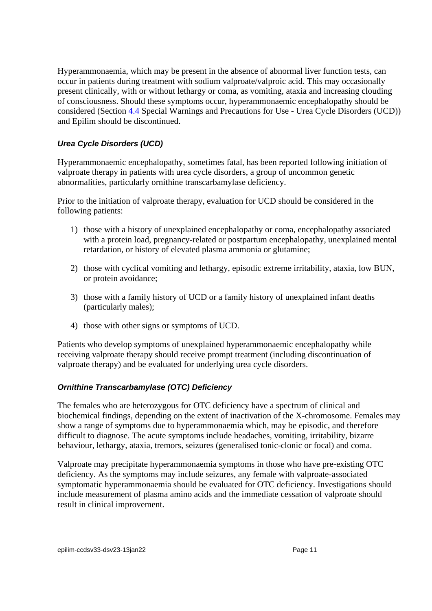Hyperammonaemia, which may be present in the absence of abnormal liver function tests, can occur in patients during treatment with sodium valproate/valproic acid. This may occasionally present clinically, with or without lethargy or coma, as vomiting, ataxia and increasing clouding of consciousness. Should these symptoms occur, hyperammonaemic encephalopathy should be considered (Section [4.4](#page-4-0) Special Warnings and Precautions for Use - Urea Cycle Disorders (UCD)) and Epilim should be discontinued.

## *Urea Cycle Disorders (UCD)*

Hyperammonaemic encephalopathy, sometimes fatal, has been reported following initiation of valproate therapy in patients with urea cycle disorders, a group of uncommon genetic abnormalities, particularly ornithine transcarbamylase deficiency.

Prior to the initiation of valproate therapy, evaluation for UCD should be considered in the following patients:

- 1) those with a history of unexplained encephalopathy or coma, encephalopathy associated with a protein load, pregnancy-related or postpartum encephalopathy, unexplained mental retardation, or history of elevated plasma ammonia or glutamine;
- 2) those with cyclical vomiting and lethargy, episodic extreme irritability, ataxia, low BUN, or protein avoidance;
- 3) those with a family history of UCD or a family history of unexplained infant deaths (particularly males);
- 4) those with other signs or symptoms of UCD.

Patients who develop symptoms of unexplained hyperammonaemic encephalopathy while receiving valproate therapy should receive prompt treatment (including discontinuation of valproate therapy) and be evaluated for underlying urea cycle disorders.

## *Ornithine Transcarbamylase (OTC) Deficiency*

The females who are heterozygous for OTC deficiency have a spectrum of clinical and biochemical findings, depending on the extent of inactivation of the X-chromosome. Females may show a range of symptoms due to hyperammonaemia which, may be episodic, and therefore difficult to diagnose. The acute symptoms include headaches, vomiting, irritability, bizarre behaviour, lethargy, ataxia, tremors, seizures (generalised tonic-clonic or focal) and coma.

Valproate may precipitate hyperammonaemia symptoms in those who have pre-existing OTC deficiency. As the symptoms may include seizures, any female with valproate-associated symptomatic hyperammonaemia should be evaluated for OTC deficiency. Investigations should include measurement of plasma amino acids and the immediate cessation of valproate should result in clinical improvement.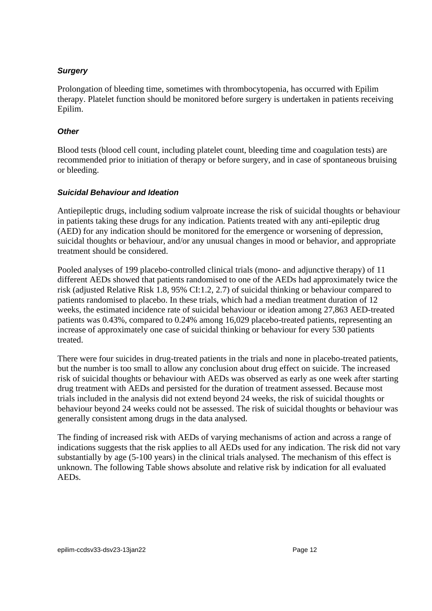## *Surgery*

Prolongation of bleeding time, sometimes with thrombocytopenia, has occurred with Epilim therapy. Platelet function should be monitored before surgery is undertaken in patients receiving Epilim.

## *Other*

Blood tests (blood cell count, including platelet count, bleeding time and coagulation tests) are recommended prior to initiation of therapy or before surgery, and in case of spontaneous bruising or bleeding.

## *Suicidal Behaviour and Ideation*

Antiepileptic drugs, including sodium valproate increase the risk of suicidal thoughts or behaviour in patients taking these drugs for any indication. Patients treated with any anti-epileptic drug (AED) for any indication should be monitored for the emergence or worsening of depression, suicidal thoughts or behaviour, and/or any unusual changes in mood or behavior, and appropriate treatment should be considered.

Pooled analyses of 199 placebo-controlled clinical trials (mono- and adjunctive therapy) of 11 different AEDs showed that patients randomised to one of the AEDs had approximately twice the risk (adjusted Relative Risk 1.8, 95% CI:1.2, 2.7) of suicidal thinking or behaviour compared to patients randomised to placebo. In these trials, which had a median treatment duration of 12 weeks, the estimated incidence rate of suicidal behaviour or ideation among 27,863 AED-treated patients was 0.43%, compared to 0.24% among 16,029 placebo-treated patients, representing an increase of approximately one case of suicidal thinking or behaviour for every 530 patients treated.

There were four suicides in drug-treated patients in the trials and none in placebo-treated patients, but the number is too small to allow any conclusion about drug effect on suicide. The increased risk of suicidal thoughts or behaviour with AEDs was observed as early as one week after starting drug treatment with AEDs and persisted for the duration of treatment assessed. Because most trials included in the analysis did not extend beyond 24 weeks, the risk of suicidal thoughts or behaviour beyond 24 weeks could not be assessed. The risk of suicidal thoughts or behaviour was generally consistent among drugs in the data analysed.

The finding of increased risk with AEDs of varying mechanisms of action and across a range of indications suggests that the risk applies to all AEDs used for any indication. The risk did not vary substantially by age (5-100 years) in the clinical trials analysed. The mechanism of this effect is unknown. The following Table shows absolute and relative risk by indication for all evaluated AEDs.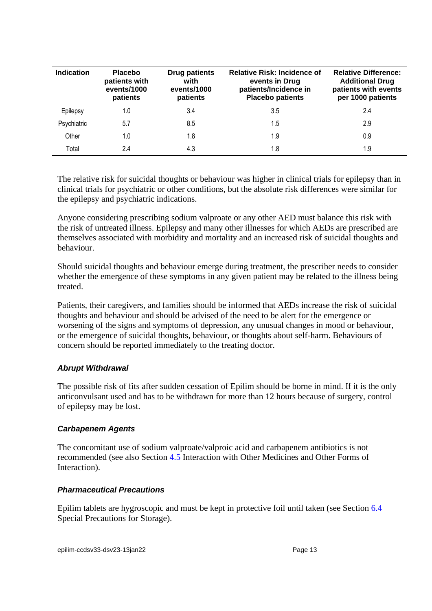| <b>Indication</b> | <b>Placebo</b><br>patients with<br>events/1000<br>patients | <b>Drug patients</b><br>with<br>events/1000<br>patients | <b>Relative Risk: Incidence of</b><br>events in Drug<br>patients/Incidence in<br><b>Placebo patients</b> | <b>Relative Difference:</b><br><b>Additional Drug</b><br>patients with events<br>per 1000 patients |
|-------------------|------------------------------------------------------------|---------------------------------------------------------|----------------------------------------------------------------------------------------------------------|----------------------------------------------------------------------------------------------------|
| Epilepsy          | 1.0                                                        | 3.4                                                     | 3.5                                                                                                      | 2.4                                                                                                |
| Psychiatric       | 5.7                                                        | 8.5                                                     | 1.5                                                                                                      | 2.9                                                                                                |
| Other             | 1.0                                                        | 1.8                                                     | 1.9                                                                                                      | 0.9                                                                                                |
| Total             | 2.4                                                        | 4.3                                                     | 1.8                                                                                                      | 1.9                                                                                                |

The relative risk for suicidal thoughts or behaviour was higher in clinical trials for epilepsy than in clinical trials for psychiatric or other conditions, but the absolute risk differences were similar for the epilepsy and psychiatric indications.

Anyone considering prescribing sodium valproate or any other AED must balance this risk with the risk of untreated illness. Epilepsy and many other illnesses for which AEDs are prescribed are themselves associated with morbidity and mortality and an increased risk of suicidal thoughts and behaviour.

Should suicidal thoughts and behaviour emerge during treatment, the prescriber needs to consider whether the emergence of these symptoms in any given patient may be related to the illness being treated.

Patients, their caregivers, and families should be informed that AEDs increase the risk of suicidal thoughts and behaviour and should be advised of the need to be alert for the emergence or worsening of the signs and symptoms of depression, any unusual changes in mood or behaviour, or the emergence of suicidal thoughts, behaviour, or thoughts about self-harm. Behaviours of concern should be reported immediately to the treating doctor.

## *Abrupt Withdrawal*

The possible risk of fits after sudden cessation of Epilim should be borne in mind. If it is the only anticonvulsant used and has to be withdrawn for more than 12 hours because of surgery, control of epilepsy may be lost.

#### *Carbapenem Agents*

The concomitant use of sodium valproate/valproic acid and carbapenem antibiotics is not recommended (see also Section [4.5](#page-14-0) Interaction with Other Medicines and Other Forms of Interaction).

#### *Pharmaceutical Precautions*

Epilim tablets are hygroscopic and must be kept in protective foil until taken (see Section [6.4](#page-39-0) Special Precautions for Storage).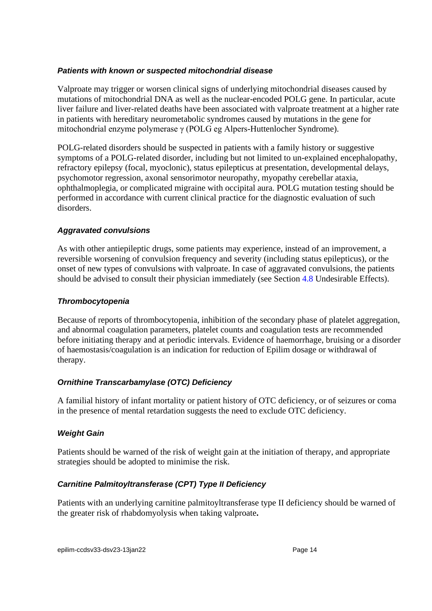## *Patients with known or suspected mitochondrial disease*

Valproate may trigger or worsen clinical signs of underlying mitochondrial diseases caused by mutations of mitochondrial DNA as well as the nuclear-encoded POLG gene. In particular, acute liver failure and liver-related deaths have been associated with valproate treatment at a higher rate in patients with hereditary neurometabolic syndromes caused by mutations in the gene for mitochondrial enzyme polymerase γ (POLG eg Alpers-Huttenlocher Syndrome).

POLG-related disorders should be suspected in patients with a family history or suggestive symptoms of a POLG-related disorder, including but not limited to un-explained encephalopathy, refractory epilepsy (focal, myoclonic), status epilepticus at presentation, developmental delays, psychomotor regression, axonal sensorimotor neuropathy, myopathy cerebellar ataxia, ophthalmoplegia, or complicated migraine with occipital aura. POLG mutation testing should be performed in accordance with current clinical practice for the diagnostic evaluation of such disorders.

## *Aggravated convulsions*

As with other antiepileptic drugs, some patients may experience, instead of an improvement, a reversible worsening of convulsion frequency and severity (including status epilepticus), or the onset of new types of convulsions with valproate. In case of aggravated convulsions, the patients should be advised to consult their physician immediately (see Section [4.8](#page-26-0) Undesirable Effects).

## *Thrombocytopenia*

Because of reports of thrombocytopenia, inhibition of the secondary phase of platelet aggregation, and abnormal coagulation parameters, platelet counts and coagulation tests are recommended before initiating therapy and at periodic intervals. Evidence of haemorrhage, bruising or a disorder of haemostasis/coagulation is an indication for reduction of Epilim dosage or withdrawal of therapy.

## *Ornithine Transcarbamylase (OTC) Deficiency*

A familial history of infant mortality or patient history of OTC deficiency, or of seizures or coma in the presence of mental retardation suggests the need to exclude OTC deficiency.

## *Weight Gain*

Patients should be warned of the risk of weight gain at the initiation of therapy, and appropriate strategies should be adopted to minimise the risk.

## *Carnitine Palmitoyltransferase (CPT) Type II Deficiency*

Patients with an underlying carnitine palmitoyltransferase type II deficiency should be warned of the greater risk of rhabdomyolysis when taking valproate**.**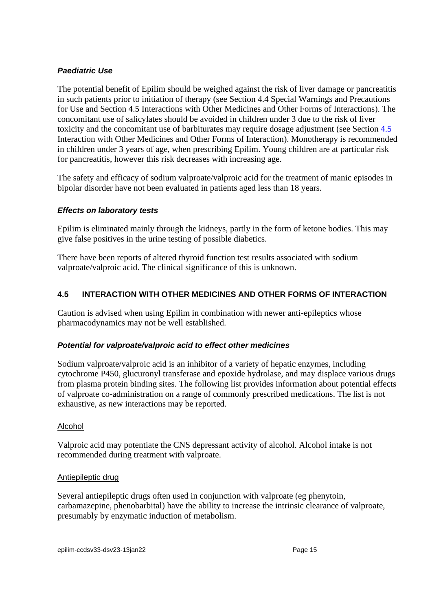## *Paediatric Use*

The potential benefit of Epilim should be weighed against the risk of liver damage or pancreatitis in such patients prior to initiation of therapy (see Section [4.4](#page-4-0) Special Warnings and Precautions for Use and Section [4.5](#page-14-0) Interactions with Other Medicines and Other Forms of Interactions). The concomitant use of salicylates should be avoided in children under 3 due to the risk of liver toxicity and the concomitant use of barbiturates may require dosage adjustment (see Section [4.5](#page-14-0) Interaction with Other Medicines and Other Forms of Interaction). Monotherapy is recommended in children under 3 years of age, when prescribing Epilim. Young children are at particular risk for pancreatitis, however this risk decreases with increasing age.

The safety and efficacy of sodium valproate/valproic acid for the treatment of manic episodes in bipolar disorder have not been evaluated in patients aged less than 18 years.

#### *Effects on laboratory tests*

Epilim is eliminated mainly through the kidneys, partly in the form of ketone bodies. This may give false positives in the urine testing of possible diabetics.

There have been reports of altered thyroid function test results associated with sodium valproate/valproic acid. The clinical significance of this is unknown.

## <span id="page-14-0"></span>**4.5 INTERACTION WITH OTHER MEDICINES AND OTHER FORMS OF INTERACTION**

Caution is advised when using Epilim in combination with newer anti-epileptics whose pharmacodynamics may not be well established.

## *Potential for valproate/valproic acid to effect other medicines*

Sodium valproate/valproic acid is an inhibitor of a variety of hepatic enzymes, including cytochrome P450, glucuronyl transferase and epoxide hydrolase, and may displace various drugs from plasma protein binding sites. The following list provides information about potential effects of valproate co-administration on a range of commonly prescribed medications. The list is not exhaustive, as new interactions may be reported.

#### Alcohol

Valproic acid may potentiate the CNS depressant activity of alcohol. Alcohol intake is not recommended during treatment with valproate.

#### Antiepileptic drug

Several antiepileptic drugs often used in conjunction with valproate (eg phenytoin, carbamazepine, phenobarbital) have the ability to increase the intrinsic clearance of valproate, presumably by enzymatic induction of metabolism.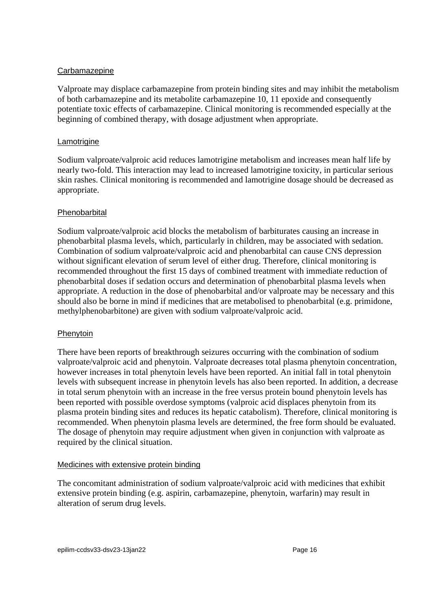#### Carbamazepine

Valproate may displace carbamazepine from protein binding sites and may inhibit the metabolism of both carbamazepine and its metabolite carbamazepine 10, 11 epoxide and consequently potentiate toxic effects of carbamazepine. Clinical monitoring is recommended especially at the beginning of combined therapy, with dosage adjustment when appropriate.

#### **Lamotrigine**

Sodium valproate/valproic acid reduces lamotrigine metabolism and increases mean half life by nearly two-fold. This interaction may lead to increased lamotrigine toxicity, in particular serious skin rashes. Clinical monitoring is recommended and lamotrigine dosage should be decreased as appropriate.

## Phenobarbital

Sodium valproate/valproic acid blocks the metabolism of barbiturates causing an increase in phenobarbital plasma levels, which, particularly in children, may be associated with sedation. Combination of sodium valproate/valproic acid and phenobarbital can cause CNS depression without significant elevation of serum level of either drug. Therefore, clinical monitoring is recommended throughout the first 15 days of combined treatment with immediate reduction of phenobarbital doses if sedation occurs and determination of phenobarbital plasma levels when appropriate. A reduction in the dose of phenobarbital and/or valproate may be necessary and this should also be borne in mind if medicines that are metabolised to phenobarbital (e.g. primidone, methylphenobarbitone) are given with sodium valproate/valproic acid.

#### Phenytoin

There have been reports of breakthrough seizures occurring with the combination of sodium valproate/valproic acid and phenytoin. Valproate decreases total plasma phenytoin concentration, however increases in total phenytoin levels have been reported. An initial fall in total phenytoin levels with subsequent increase in phenytoin levels has also been reported. In addition, a decrease in total serum phenytoin with an increase in the free versus protein bound phenytoin levels has been reported with possible overdose symptoms (valproic acid displaces phenytoin from its plasma protein binding sites and reduces its hepatic catabolism). Therefore, clinical monitoring is recommended. When phenytoin plasma levels are determined, the free form should be evaluated. The dosage of phenytoin may require adjustment when given in conjunction with valproate as required by the clinical situation.

#### Medicines with extensive protein binding

The concomitant administration of sodium valproate/valproic acid with medicines that exhibit extensive protein binding (e.g. aspirin, carbamazepine, phenytoin, warfarin) may result in alteration of serum drug levels.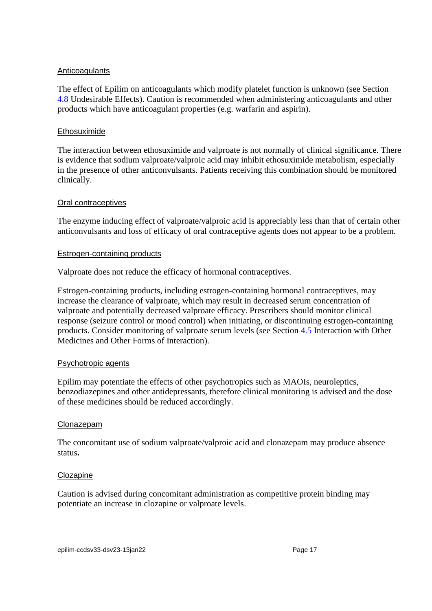#### **Anticoagulants**

The effect of Epilim on anticoagulants which modify platelet function is unknown (see Section [4.8](#page-26-0) Undesirable Effects). Caution is recommended when administering anticoagulants and other products which have anticoagulant properties (e.g. warfarin and aspirin).

#### **Ethosuximide**

The interaction between ethosuximide and valproate is not normally of clinical significance. There is evidence that sodium valproate/valproic acid may inhibit ethosuximide metabolism, especially in the presence of other anticonvulsants. Patients receiving this combination should be monitored clinically.

#### Oral contraceptives

The enzyme inducing effect of valproate/valproic acid is appreciably less than that of certain other anticonvulsants and loss of efficacy of oral contraceptive agents does not appear to be a problem.

#### Estrogen-containing products

Valproate does not reduce the efficacy of hormonal contraceptives.

Estrogen-containing products, including estrogen-containing hormonal contraceptives, may increase the clearance of valproate, which may result in decreased serum concentration of valproate and potentially decreased valproate efficacy. Prescribers should monitor clinical response (seizure control or mood control) when initiating, or discontinuing estrogen-containing products. Consider monitoring of valproate serum levels (see Section [4.5](#page-14-0) Interaction with Other Medicines and Other Forms of Interaction).

#### Psychotropic agents

Epilim may potentiate the effects of other psychotropics such as MAOIs, neuroleptics, benzodiazepines and other antidepressants, therefore clinical monitoring is advised and the dose of these medicines should be reduced accordingly.

#### **Clonazepam**

The concomitant use of sodium valproate/valproic acid and clonazepam may produce absence status**.** 

#### Clozapine

Caution is advised during concomitant administration as competitive protein binding may potentiate an increase in clozapine or valproate levels.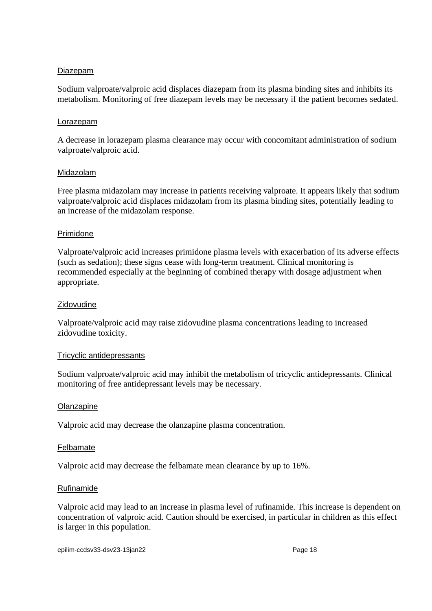#### Diazepam

Sodium valproate/valproic acid displaces diazepam from its plasma binding sites and inhibits its metabolism. Monitoring of free diazepam levels may be necessary if the patient becomes sedated.

#### Lorazepam

A decrease in lorazepam plasma clearance may occur with concomitant administration of sodium valproate/valproic acid.

#### Midazolam

Free plasma midazolam may increase in patients receiving valproate. It appears likely that sodium valproate/valproic acid displaces midazolam from its plasma binding sites, potentially leading to an increase of the midazolam response.

#### Primidone

Valproate/valproic acid increases primidone plasma levels with exacerbation of its adverse effects (such as sedation); these signs cease with long-term treatment. Clinical monitoring is recommended especially at the beginning of combined therapy with dosage adjustment when appropriate.

#### Zidovudine

Valproate/valproic acid may raise zidovudine plasma concentrations leading to increased zidovudine toxicity.

#### Tricyclic antidepressants

Sodium valproate/valproic acid may inhibit the metabolism of tricyclic antidepressants. Clinical monitoring of free antidepressant levels may be necessary.

#### **Olanzapine**

Valproic acid may decrease the olanzapine plasma concentration.

#### Felbamate

Valproic acid may decrease the felbamate mean clearance by up to 16%.

#### Rufinamide

Valproic acid may lead to an increase in plasma level of rufinamide. This increase is dependent on concentration of valproic acid. Caution should be exercised, in particular in children as this effect is larger in this population.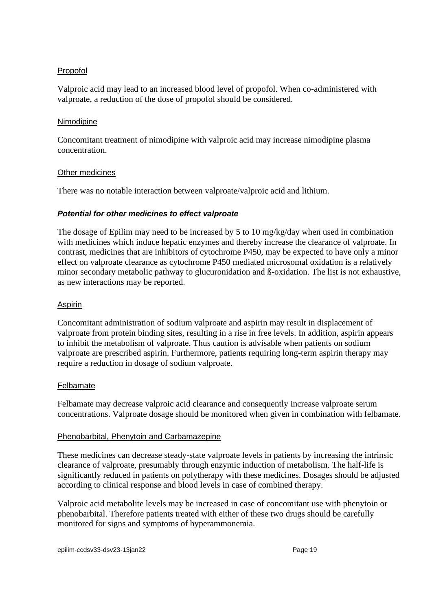#### Propofol

Valproic acid may lead to an increased blood level of propofol. When co-administered with valproate, a reduction of the dose of propofol should be considered.

#### Nimodipine

Concomitant treatment of nimodipine with valproic acid may increase nimodipine plasma concentration.

#### Other medicines

There was no notable interaction between valproate/valproic acid and lithium.

#### *Potential for other medicines to effect valproate*

The dosage of Epilim may need to be increased by 5 to 10 mg/kg/day when used in combination with medicines which induce hepatic enzymes and thereby increase the clearance of valproate. In contrast, medicines that are inhibitors of cytochrome P450, may be expected to have only a minor effect on valproate clearance as cytochrome P450 mediated microsomal oxidation is a relatively minor secondary metabolic pathway to glucuronidation and ß-oxidation. The list is not exhaustive, as new interactions may be reported.

#### Aspirin

Concomitant administration of sodium valproate and aspirin may result in displacement of valproate from protein binding sites, resulting in a rise in free levels. In addition, aspirin appears to inhibit the metabolism of valproate. Thus caution is advisable when patients on sodium valproate are prescribed aspirin. Furthermore, patients requiring long-term aspirin therapy may require a reduction in dosage of sodium valproate.

#### Felbamate

Felbamate may decrease valproic acid clearance and consequently increase valproate serum concentrations. Valproate dosage should be monitored when given in combination with felbamate.

#### Phenobarbital, Phenytoin and Carbamazepine

These medicines can decrease steady-state valproate levels in patients by increasing the intrinsic clearance of valproate, presumably through enzymic induction of metabolism. The half-life is significantly reduced in patients on polytherapy with these medicines. Dosages should be adjusted according to clinical response and blood levels in case of combined therapy.

Valproic acid metabolite levels may be increased in case of concomitant use with phenytoin or phenobarbital. Therefore patients treated with either of these two drugs should be carefully monitored for signs and symptoms of hyperammonemia.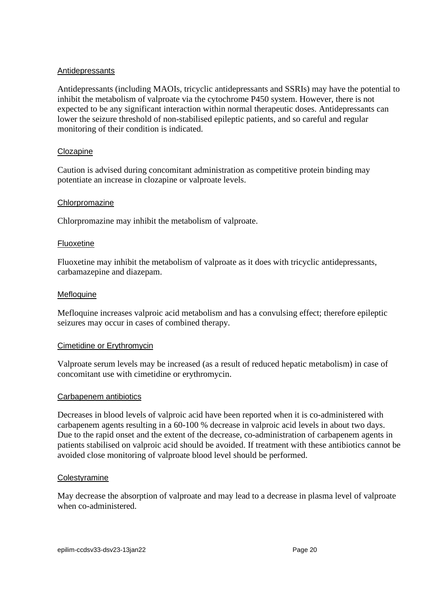#### Antidepressants

Antidepressants (including MAOIs, tricyclic antidepressants and SSRIs) may have the potential to inhibit the metabolism of valproate via the cytochrome P450 system. However, there is not expected to be any significant interaction within normal therapeutic doses. Antidepressants can lower the seizure threshold of non-stabilised epileptic patients, and so careful and regular monitoring of their condition is indicated.

#### Clozapine

Caution is advised during concomitant administration as competitive protein binding may potentiate an increase in clozapine or valproate levels.

#### Chlorpromazine

Chlorpromazine may inhibit the metabolism of valproate.

#### Fluoxetine

Fluoxetine may inhibit the metabolism of valproate as it does with tricyclic antidepressants, carbamazepine and diazepam.

#### Mefloquine

Mefloquine increases valproic acid metabolism and has a convulsing effect; therefore epileptic seizures may occur in cases of combined therapy.

#### Cimetidine or Erythromycin

Valproate serum levels may be increased (as a result of reduced hepatic metabolism) in case of concomitant use with cimetidine or erythromycin.

#### Carbapenem antibiotics

Decreases in blood levels of valproic acid have been reported when it is co-administered with carbapenem agents resulting in a 60-100 % decrease in valproic acid levels in about two days. Due to the rapid onset and the extent of the decrease, co-administration of carbapenem agents in patients stabilised on valproic acid should be avoided. If treatment with these antibiotics cannot be avoided close monitoring of valproate blood level should be performed.

#### **Colestyramine**

May decrease the absorption of valproate and may lead to a decrease in plasma level of valproate when co-administered.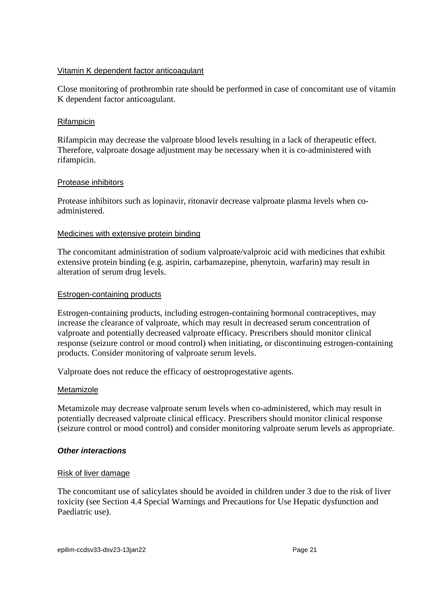#### Vitamin K dependent factor anticoagulant

Close monitoring of prothrombin rate should be performed in case of concomitant use of vitamin K dependent factor anticoagulant.

## Rifampicin

Rifampicin may decrease the valproate blood levels resulting in a lack of therapeutic effect. Therefore, valproate dosage adjustment may be necessary when it is co-administered with rifampicin.

#### Protease inhibitors

Protease inhibitors such as lopinavir, ritonavir decrease valproate plasma levels when coadministered.

#### Medicines with extensive protein binding

The concomitant administration of sodium valproate/valproic acid with medicines that exhibit extensive protein binding (e.g. aspirin, carbamazepine, phenytoin, warfarin) may result in alteration of serum drug levels.

#### Estrogen-containing products

Estrogen-containing products, including estrogen-containing hormonal contraceptives, may increase the clearance of valproate, which may result in decreased serum concentration of valproate and potentially decreased valproate efficacy. Prescribers should monitor clinical response (seizure control or mood control) when initiating, or discontinuing estrogen-containing products. Consider monitoring of valproate serum levels.

Valproate does not reduce the efficacy of oestroprogestative agents.

#### Metamizole

Metamizole may decrease valproate serum levels when co-administered, which may result in potentially decreased valproate clinical efficacy. Prescribers should monitor clinical response (seizure control or mood control) and consider monitoring valproate serum levels as appropriate.

#### *Other interactions*

#### Risk of liver damage

The concomitant use of salicylates should be avoided in children under 3 due to the risk of liver toxicity (see Section [4.4](#page-4-0) Special Warnings and Precautions for Use Hepatic dysfunction and Paediatric use).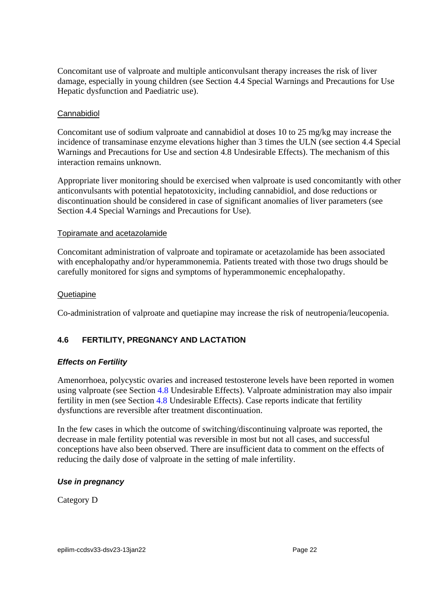Concomitant use of valproate and multiple anticonvulsant therapy increases the risk of liver damage, especially in young children (see Section [4.4](#page-4-0) Special Warnings and Precautions for Use Hepatic dysfunction and Paediatric use).

#### Cannabidiol

Concomitant use of sodium valproate and cannabidiol at doses 10 to 25 mg/kg may increase the incidence of transaminase enzyme elevations higher than 3 times the ULN (see section [4.4](#page-4-0) Special Warnings and Precautions for Use and section [4.8](#page-26-0) Undesirable Effects). The mechanism of this interaction remains unknown.

Appropriate liver monitoring should be exercised when valproate is used concomitantly with other anticonvulsants with potential hepatotoxicity, including cannabidiol, and dose reductions or discontinuation should be considered in case of significant anomalies of liver parameters (see Section [4.4](#page-4-0) Special Warnings and Precautions for Use).

#### Topiramate and acetazolamide

Concomitant administration of valproate and topiramate or acetazolamide has been associated with encephalopathy and/or hyperammonemia. Patients treated with those two drugs should be carefully monitored for signs and symptoms of hyperammonemic encephalopathy.

#### **Quetiapine**

<span id="page-21-0"></span>Co-administration of valproate and quetiapine may increase the risk of neutropenia/leucopenia.

# **4.6 FERTILITY, PREGNANCY AND LACTATION**

## *Effects on Fertility*

Amenorrhoea, polycystic ovaries and increased testosterone levels have been reported in women using valproate (see Section [4.8](#page-26-0) Undesirable Effects). Valproate administration may also impair fertility in men (see Section [4.8](#page-26-0) Undesirable Effects). Case reports indicate that fertility dysfunctions are reversible after treatment discontinuation.

In the few cases in which the outcome of switching/discontinuing valproate was reported, the decrease in male fertility potential was reversible in most but not all cases, and successful conceptions have also been observed. There are insufficient data to comment on the effects of reducing the daily dose of valproate in the setting of male infertility.

## *Use in pregnancy*

Category D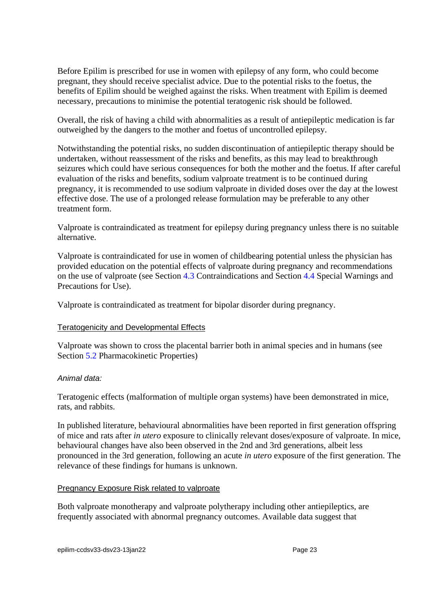Before Epilim is prescribed for use in women with epilepsy of any form, who could become pregnant, they should receive specialist advice. Due to the potential risks to the foetus, the benefits of Epilim should be weighed against the risks. When treatment with Epilim is deemed necessary, precautions to minimise the potential teratogenic risk should be followed.

Overall, the risk of having a child with abnormalities as a result of antiepileptic medication is far outweighed by the dangers to the mother and foetus of uncontrolled epilepsy.

Notwithstanding the potential risks, no sudden discontinuation of antiepileptic therapy should be undertaken, without reassessment of the risks and benefits, as this may lead to breakthrough seizures which could have serious consequences for both the mother and the foetus. If after careful evaluation of the risks and benefits, sodium valproate treatment is to be continued during pregnancy, it is recommended to use sodium valproate in divided doses over the day at the lowest effective dose. The use of a prolonged release formulation may be preferable to any other treatment form.

Valproate is contraindicated as treatment for epilepsy during pregnancy unless there is no suitable alternative.

Valproate is contraindicated for use in women of childbearing potential unless the physician has provided education on the potential effects of valproate during pregnancy and recommendations on the use of valproate (see Section [4.3](#page-3-0) Contraindications and Section [4.4](#page-4-0) Special Warnings and Precautions for Use).

Valproate is contraindicated as treatment for bipolar disorder during pregnancy.

## Teratogenicity and Developmental Effects

Valproate was shown to cross the placental barrier both in animal species and in humans (see Section [5.2](#page-35-0) Pharmacokinetic Properties)

#### *Animal data:*

Teratogenic effects (malformation of multiple organ systems) have been demonstrated in mice, rats, and rabbits.

In published literature, behavioural abnormalities have been reported in first generation offspring of mice and rats after *in utero* exposure to clinically relevant doses/exposure of valproate. In mice, behavioural changes have also been observed in the 2nd and 3rd generations, albeit less pronounced in the 3rd generation, following an acute *in utero* exposure of the first generation. The relevance of these findings for humans is unknown.

#### Pregnancy Exposure Risk related to valproate

Both valproate monotherapy and valproate polytherapy including other antiepileptics, are frequently associated with abnormal pregnancy outcomes. Available data suggest that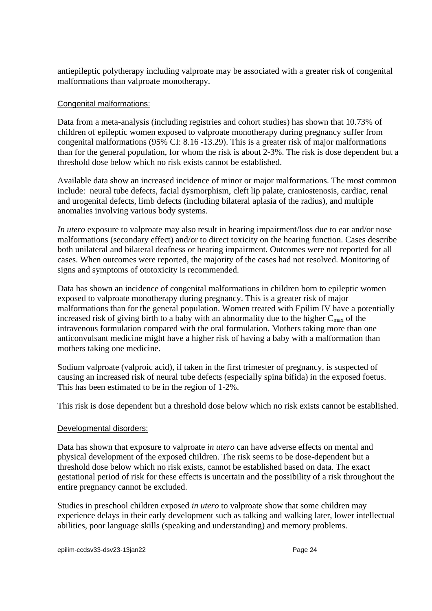antiepileptic polytherapy including valproate may be associated with a greater risk of congenital malformations than valproate monotherapy.

#### Congenital malformations:

Data from a meta-analysis (including registries and cohort studies) has shown that 10.73% of children of epileptic women exposed to valproate monotherapy during pregnancy suffer from congenital malformations (95% CI: 8.16 -13.29). This is a greater risk of major malformations than for the general population, for whom the risk is about 2-3%. The risk is dose dependent but a threshold dose below which no risk exists cannot be established.

Available data show an increased incidence of minor or major malformations. The most common include: neural tube defects, facial dysmorphism, cleft lip palate, craniostenosis, cardiac, renal and urogenital defects, limb defects (including bilateral aplasia of the radius), and multiple anomalies involving various body systems.

*In utero* exposure to valproate may also result in hearing impairment/loss due to ear and/or nose malformations (secondary effect) and/or to direct toxicity on the hearing function. Cases describe both unilateral and bilateral deafness or hearing impairment. Outcomes were not reported for all cases. When outcomes were reported, the majority of the cases had not resolved. Monitoring of signs and symptoms of ototoxicity is recommended.

Data has shown an incidence of congenital malformations in children born to epileptic women exposed to valproate monotherapy during pregnancy. This is a greater risk of major malformations than for the general population. Women treated with Epilim IV have a potentially increased risk of giving birth to a baby with an abnormality due to the higher  $C_{\text{max}}$  of the intravenous formulation compared with the oral formulation. Mothers taking more than one anticonvulsant medicine might have a higher risk of having a baby with a malformation than mothers taking one medicine.

Sodium valproate (valproic acid), if taken in the first trimester of pregnancy, is suspected of causing an increased risk of neural tube defects (especially spina bifida) in the exposed foetus. This has been estimated to be in the region of 1-2%.

This risk is dose dependent but a threshold dose below which no risk exists cannot be established.

#### Developmental disorders:

Data has shown that exposure to valproate *in utero* can have adverse effects on mental and physical development of the exposed children. The risk seems to be dose-dependent but a threshold dose below which no risk exists, cannot be established based on data. The exact gestational period of risk for these effects is uncertain and the possibility of a risk throughout the entire pregnancy cannot be excluded.

Studies in preschool children exposed *in utero* to valproate show that some children may experience delays in their early development such as talking and walking later, lower intellectual abilities, poor language skills (speaking and understanding) and memory problems.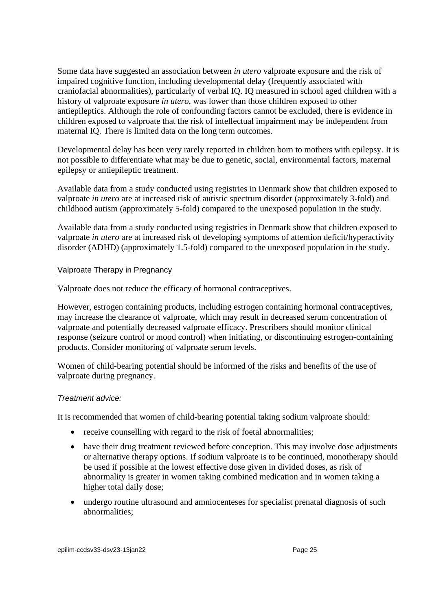Some data have suggested an association between *in utero* valproate exposure and the risk of impaired cognitive function, including developmental delay (frequently associated with craniofacial abnormalities), particularly of verbal IQ. IQ measured in school aged children with a history of valproate exposure *in utero*, was lower than those children exposed to other antiepileptics. Although the role of confounding factors cannot be excluded, there is evidence in children exposed to valproate that the risk of intellectual impairment may be independent from maternal IQ. There is limited data on the long term outcomes.

Developmental delay has been very rarely reported in children born to mothers with epilepsy. It is not possible to differentiate what may be due to genetic, social, environmental factors, maternal epilepsy or antiepileptic treatment.

Available data from a study conducted using registries in Denmark show that children exposed to valproate *in utero* are at increased risk of autistic spectrum disorder (approximately 3-fold) and childhood autism (approximately 5-fold) compared to the unexposed population in the study.

Available data from a study conducted using registries in Denmark show that children exposed to valproate *in utero* are at increased risk of developing symptoms of attention deficit/hyperactivity disorder (ADHD) (approximately 1.5-fold) compared to the unexposed population in the study.

#### Valproate Therapy in Pregnancy

Valproate does not reduce the efficacy of hormonal contraceptives.

However, estrogen containing products, including estrogen containing hormonal contraceptives, may increase the clearance of valproate, which may result in decreased serum concentration of valproate and potentially decreased valproate efficacy. Prescribers should monitor clinical response (seizure control or mood control) when initiating, or discontinuing estrogen-containing products. Consider monitoring of valproate serum levels.

Women of child-bearing potential should be informed of the risks and benefits of the use of valproate during pregnancy.

#### *Treatment advice:*

It is recommended that women of child-bearing potential taking sodium valproate should:

- receive counselling with regard to the risk of foetal abnormalities;
- have their drug treatment reviewed before conception. This may involve dose adjustments or alternative therapy options. If sodium valproate is to be continued, monotherapy should be used if possible at the lowest effective dose given in divided doses, as risk of abnormality is greater in women taking combined medication and in women taking a higher total daily dose;
- undergo routine ultrasound and amniocenteses for specialist prenatal diagnosis of such abnormalities;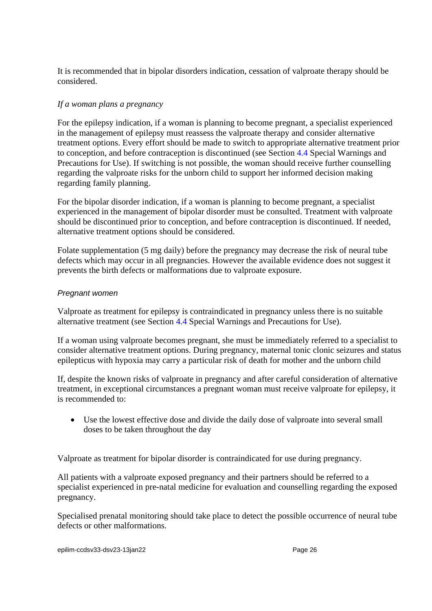It is recommended that in bipolar disorders indication, cessation of valproate therapy should be considered.

## *If a woman plans a pregnancy*

For the epilepsy indication, if a woman is planning to become pregnant, a specialist experienced in the management of epilepsy must reassess the valproate therapy and consider alternative treatment options. Every effort should be made to switch to appropriate alternative treatment prior to conception, and before contraception is discontinued (see Section [4.4](#page-4-0) Special Warnings and Precautions for Use). If switching is not possible, the woman should receive further counselling regarding the valproate risks for the unborn child to support her informed decision making regarding family planning.

For the bipolar disorder indication, if a woman is planning to become pregnant, a specialist experienced in the management of bipolar disorder must be consulted. Treatment with valproate should be discontinued prior to conception, and before contraception is discontinued. If needed, alternative treatment options should be considered.

Folate supplementation (5 mg daily) before the pregnancy may decrease the risk of neural tube defects which may occur in all pregnancies. However the available evidence does not suggest it prevents the birth defects or malformations due to valproate exposure.

## *Pregnant women*

Valproate as treatment for epilepsy is contraindicated in pregnancy unless there is no suitable alternative treatment (see Section [4.4](#page-4-0) Special Warnings and Precautions for Use).

If a woman using valproate becomes pregnant, she must be immediately referred to a specialist to consider alternative treatment options. During pregnancy, maternal tonic clonic seizures and status epilepticus with hypoxia may carry a particular risk of death for mother and the unborn child

If, despite the known risks of valproate in pregnancy and after careful consideration of alternative treatment, in exceptional circumstances a pregnant woman must receive valproate for epilepsy, it is recommended to:

• Use the lowest effective dose and divide the daily dose of valproate into several small doses to be taken throughout the day

Valproate as treatment for bipolar disorder is contraindicated for use during pregnancy.

All patients with a valproate exposed pregnancy and their partners should be referred to a specialist experienced in pre-natal medicine for evaluation and counselling regarding the exposed pregnancy.

Specialised prenatal monitoring should take place to detect the possible occurrence of neural tube defects or other malformations.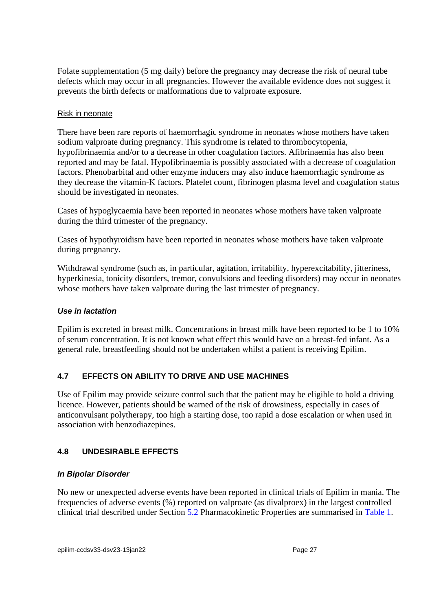Folate supplementation (5 mg daily) before the pregnancy may decrease the risk of neural tube defects which may occur in all pregnancies. However the available evidence does not suggest it prevents the birth defects or malformations due to valproate exposure.

#### Risk in neonate

There have been rare reports of haemorrhagic syndrome in neonates whose mothers have taken sodium valproate during pregnancy. This syndrome is related to thrombocytopenia, hypofibrinaemia and/or to a decrease in other coagulation factors. Afibrinaemia has also been reported and may be fatal. Hypofibrinaemia is possibly associated with a decrease of coagulation factors. Phenobarbital and other enzyme inducers may also induce haemorrhagic syndrome as they decrease the vitamin-K factors. Platelet count, fibrinogen plasma level and coagulation status should be investigated in neonates.

Cases of hypoglycaemia have been reported in neonates whose mothers have taken valproate during the third trimester of the pregnancy.

Cases of hypothyroidism have been reported in neonates whose mothers have taken valproate during pregnancy.

Withdrawal syndrome (such as, in particular, agitation, irritability, hyperexcitability, jitteriness, hyperkinesia, tonicity disorders, tremor, convulsions and feeding disorders) may occur in neonates whose mothers have taken valproate during the last trimester of pregnancy.

## *Use in lactation*

Epilim is excreted in breast milk. Concentrations in breast milk have been reported to be 1 to 10% of serum concentration. It is not known what effect this would have on a breast-fed infant. As a general rule, breastfeeding should not be undertaken whilst a patient is receiving Epilim.

# **4.7 EFFECTS ON ABILITY TO DRIVE AND USE MACHINES**

Use of Epilim may provide seizure control such that the patient may be eligible to hold a driving licence. However, patients should be warned of the risk of drowsiness, especially in cases of anticonvulsant polytherapy, too high a starting dose, too rapid a dose escalation or when used in association with benzodiazepines.

# <span id="page-26-0"></span>**4.8 UNDESIRABLE EFFECTS**

## *In Bipolar Disorder*

No new or unexpected adverse events have been reported in clinical trials of Epilim in mania. The frequencies of adverse events (%) reported on valproate (as divalproex) in the largest controlled clinical trial described under Section [5.2](#page-35-0) Pharmacokinetic Properties are summarised in [Table](#page-27-0) 1.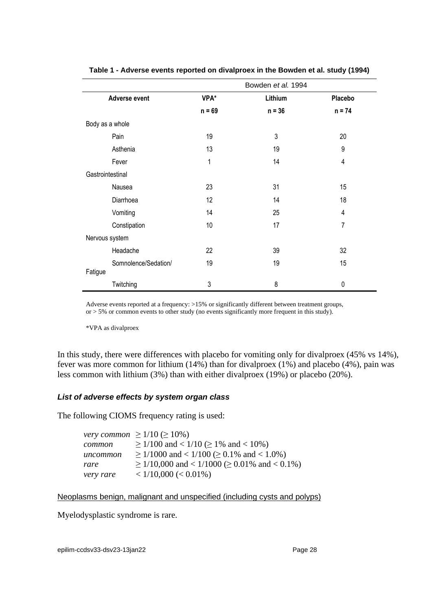<span id="page-27-0"></span>

|                      | Bowden et al. 1994 |          |                |
|----------------------|--------------------|----------|----------------|
| Adverse event        | VPA*               | Lithium  | Placebo        |
|                      | $n = 69$           | $n = 36$ | $n = 74$       |
| Body as a whole      |                    |          |                |
| Pain                 | 19                 | 3        | 20             |
| Asthenia             | 13                 | 19       | 9              |
| Fever                | 1                  | 14       | $\overline{4}$ |
| Gastrointestinal     |                    |          |                |
| Nausea               | 23                 | 31       | 15             |
| Diarrhoea            | 12                 | 14       | 18             |
| Vomiting             | 14                 | 25       | 4              |
| Constipation         | 10                 | 17       | 7              |
| Nervous system       |                    |          |                |
| Headache             | 22                 | 39       | 32             |
| Somnolence/Sedation/ | 19                 | 19       | 15             |
| Fatigue              |                    |          |                |
| Twitching            | 3                  | 8        | 0              |

#### **Table 1 - Adverse events reported on divalproex in the Bowden et al. study (1994)**

Adverse events reported at a frequency: >15% or significantly different between treatment groups, or > 5% or common events to other study (no events significantly more frequent in this study).

\*VPA as divalproex

In this study, there were differences with placebo for vomiting only for divalproex (45% vs 14%), fever was more common for lithium (14%) than for divalproex (1%) and placebo (4%), pain was less common with lithium (3%) than with either divalproex (19%) or placebo (20%).

#### *List of adverse effects by system organ class*

The following CIOMS frequency rating is used:

|           | <i>very common</i> $\geq 1/10 \ (\geq 10\%)$            |
|-----------|---------------------------------------------------------|
| common    | $\geq$ 1/100 and < 1/10 ( $\geq$ 1% and < 10%)          |
| uncommon  | $\geq$ 1/1000 and < 1/100 ( $\geq$ 0.1% and < 1.0%)     |
| rare      | $\geq$ 1/10,000 and < 1/1000 ( $\geq$ 0.01% and < 0.1%) |
| very rare | $< 1/10,000 (< 0.01\%)$                                 |

#### Neoplasms benign, malignant and unspecified (including cysts and polyps)

Myelodysplastic syndrome is rare.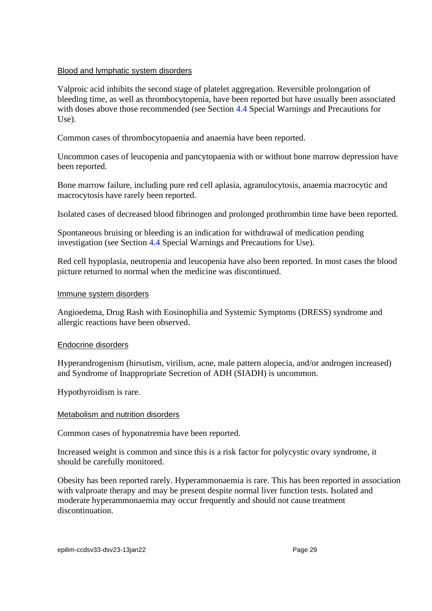#### Blood and lymphatic system disorders

Valproic acid inhibits the second stage of platelet aggregation. Reversible prolongation of bleeding time, as well as thrombocytopenia, have been reported but have usually been associated with doses above those recommended (see Section [4.4](#page-4-0) Special Warnings and Precautions for Use).

Common cases of thrombocytopaenia and anaemia have been reported.

Uncommon cases of leucopenia and pancytopaenia with or without bone marrow depression have been reported.

Bone marrow failure, including pure red cell aplasia, agranulocytosis, anaemia macrocytic and macrocytosis have rarely been reported.

Isolated cases of decreased blood fibrinogen and prolonged prothrombin time have been reported.

Spontaneous bruising or bleeding is an indication for withdrawal of medication pending investigation (see Section [4.4](#page-4-0) Special Warnings and Precautions for Use).

Red cell hypoplasia, neutropenia and leucopenia have also been reported. In most cases the blood picture returned to normal when the medicine was discontinued.

#### Immune system disorders

Angioedema, Drug Rash with Eosinophilia and Systemic Symptoms (DRESS) syndrome and allergic reactions have been observed.

#### Endocrine disorders

Hyperandrogenism (hirsutism, virilism, acne, male pattern alopecia, and/or androgen increased) and Syndrome of Inappropriate Secretion of ADH (SIADH) is uncommon.

Hypothyroidism is rare.

#### Metabolism and nutrition disorders

Common cases of hyponatremia have been reported.

Increased weight is common and since this is a risk factor for polycystic ovary syndrome, it should be carefully monitored.

Obesity has been reported rarely. Hyperammonaemia is rare. This has been reported in association with valproate therapy and may be present despite normal liver function tests. Isolated and moderate hyperammonaemia may occur frequently and should not cause treatment discontinuation.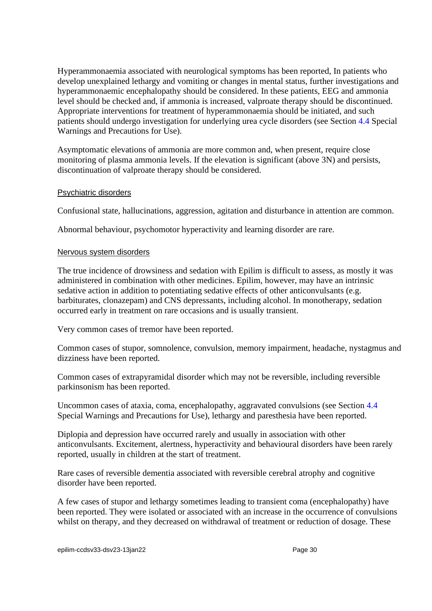Hyperammonaemia associated with neurological symptoms has been reported, In patients who develop unexplained lethargy and vomiting or changes in mental status, further investigations and hyperammonaemic encephalopathy should be considered. In these patients, EEG and ammonia level should be checked and, if ammonia is increased, valproate therapy should be discontinued. Appropriate interventions for treatment of hyperammonaemia should be initiated, and such patients should undergo investigation for underlying urea cycle disorders (see Section [4.4](#page-4-0) Special Warnings and Precautions for Use).

Asymptomatic elevations of ammonia are more common and, when present, require close monitoring of plasma ammonia levels. If the elevation is significant (above 3N) and persists, discontinuation of valproate therapy should be considered.

#### Psychiatric disorders

Confusional state, hallucinations, aggression, agitation and disturbance in attention are common.

Abnormal behaviour, psychomotor hyperactivity and learning disorder are rare.

#### Nervous system disorders

The true incidence of drowsiness and sedation with Epilim is difficult to assess, as mostly it was administered in combination with other medicines. Epilim, however, may have an intrinsic sedative action in addition to potentiating sedative effects of other anticonvulsants (e.g. barbiturates, clonazepam) and CNS depressants, including alcohol. In monotherapy, sedation occurred early in treatment on rare occasions and is usually transient.

Very common cases of tremor have been reported.

Common cases of stupor, somnolence, convulsion, memory impairment, headache, nystagmus and dizziness have been reported.

Common cases of extrapyramidal disorder which may not be reversible, including reversible parkinsonism has been reported.

Uncommon cases of ataxia, coma, encephalopathy, aggravated convulsions (see Section [4.4](#page-4-0) Special Warnings and Precautions for Use), lethargy and paresthesia have been reported.

Diplopia and depression have occurred rarely and usually in association with other anticonvulsants. Excitement, alertness, hyperactivity and behavioural disorders have been rarely reported, usually in children at the start of treatment.

Rare cases of reversible dementia associated with reversible cerebral atrophy and cognitive disorder have been reported.

A few cases of stupor and lethargy sometimes leading to transient coma (encephalopathy) have been reported. They were isolated or associated with an increase in the occurrence of convulsions whilst on therapy, and they decreased on withdrawal of treatment or reduction of dosage. These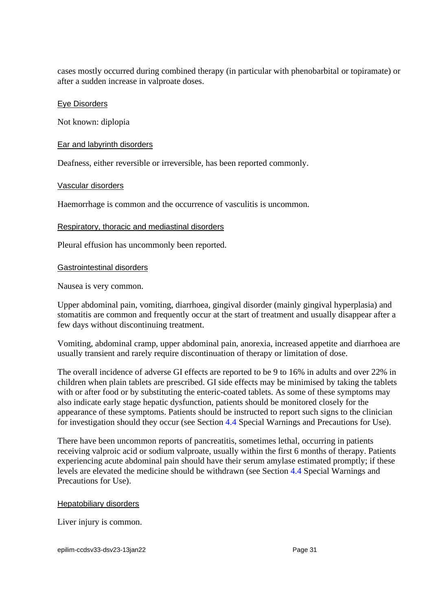cases mostly occurred during combined therapy (in particular with phenobarbital or topiramate) or after a sudden increase in valproate doses.

#### Eye Disorders

Not known: diplopia

#### Ear and labyrinth disorders

Deafness, either reversible or irreversible, has been reported commonly.

#### Vascular disorders

Haemorrhage is common and the occurrence of vasculitis is uncommon.

#### Respiratory, thoracic and mediastinal disorders

Pleural effusion has uncommonly been reported.

#### Gastrointestinal disorders

Nausea is very common.

Upper abdominal pain, vomiting, diarrhoea, gingival disorder (mainly gingival hyperplasia) and stomatitis are common and frequently occur at the start of treatment and usually disappear after a few days without discontinuing treatment.

Vomiting, abdominal cramp, upper abdominal pain, anorexia, increased appetite and diarrhoea are usually transient and rarely require discontinuation of therapy or limitation of dose.

The overall incidence of adverse GI effects are reported to be 9 to 16% in adults and over 22% in children when plain tablets are prescribed. GI side effects may be minimised by taking the tablets with or after food or by substituting the enteric-coated tablets. As some of these symptoms may also indicate early stage hepatic dysfunction, patients should be monitored closely for the appearance of these symptoms. Patients should be instructed to report such signs to the clinician for investigation should they occur (see Section [4.4](#page-4-0) Special Warnings and Precautions for Use).

There have been uncommon reports of pancreatitis, sometimes lethal, occurring in patients receiving valproic acid or sodium valproate, usually within the first 6 months of therapy. Patients experiencing acute abdominal pain should have their serum amylase estimated promptly; if these levels are elevated the medicine should be withdrawn (see Section [4.4](#page-4-0) Special Warnings and Precautions for Use).

#### **Hepatobiliary disorders**

Liver injury is common.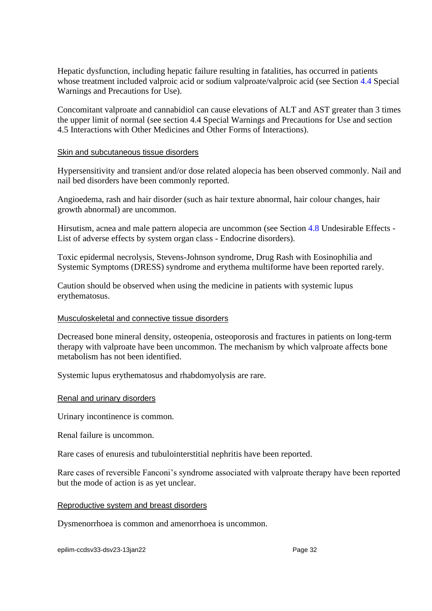Hepatic dysfunction, including hepatic failure resulting in fatalities, has occurred in patients whose treatment included valproic acid or sodium valproate/valproic acid (see Section [4.4](#page-4-0) Special Warnings and Precautions for Use).

Concomitant valproate and cannabidiol can cause elevations of ALT and AST greater than 3 times the upper limit of normal (see section [4.4](#page-4-0) Special Warnings and Precautions for Use and section [4.5](#page-14-0) Interactions with Other Medicines and Other Forms of Interactions).

#### Skin and subcutaneous tissue disorders

Hypersensitivity and transient and/or dose related alopecia has been observed commonly. Nail and nail bed disorders have been commonly reported.

Angioedema, rash and hair disorder (such as hair texture abnormal, hair colour changes, hair growth abnormal) are uncommon.

Hirsutism, acnea and male pattern alopecia are uncommon (see Section [4.8](#page-26-0) Undesirable Effects - List of adverse effects by system organ class - Endocrine disorders).

Toxic epidermal necrolysis, Stevens-Johnson syndrome, Drug Rash with Eosinophilia and Systemic Symptoms (DRESS) syndrome and erythema multiforme have been reported rarely.

Caution should be observed when using the medicine in patients with systemic lupus erythematosus.

#### Musculoskeletal and connective tissue disorders

Decreased bone mineral density, osteopenia, osteoporosis and fractures in patients on long-term therapy with valproate have been uncommon. The mechanism by which valproate affects bone metabolism has not been identified.

Systemic lupus erythematosus and rhabdomyolysis are rare.

#### Renal and urinary disorders

Urinary incontinence is common.

Renal failure is uncommon.

Rare cases of enuresis and tubulointerstitial nephritis have been reported.

Rare cases of reversible Fanconi's syndrome associated with valproate therapy have been reported but the mode of action is as yet unclear.

#### Reproductive system and breast disorders

Dysmenorrhoea is common and amenorrhoea is uncommon.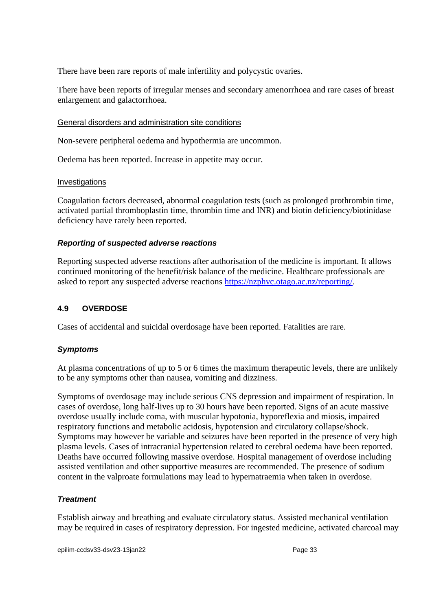There have been rare reports of male infertility and polycystic ovaries.

There have been reports of irregular menses and secondary amenorrhoea and rare cases of breast enlargement and galactorrhoea.

#### General disorders and administration site conditions

Non-severe peripheral oedema and hypothermia are uncommon.

Oedema has been reported. Increase in appetite may occur.

#### **Investigations**

Coagulation factors decreased, abnormal coagulation tests (such as prolonged prothrombin time, activated partial thromboplastin time, thrombin time and INR) and biotin deficiency/biotinidase deficiency have rarely been reported.

## *Reporting of suspected adverse reactions*

Reporting suspected adverse reactions after authorisation of the medicine is important. It allows continued monitoring of the benefit/risk balance of the medicine. Healthcare professionals are asked to report any suspected adverse reactions [https://nzphvc.otago.ac.nz/reporting/.](https://nzphvc.otago.ac.nz/reporting/)

## **4.9 OVERDOSE**

Cases of accidental and suicidal overdosage have been reported. Fatalities are rare.

## *Symptoms*

At plasma concentrations of up to 5 or 6 times the maximum therapeutic levels, there are unlikely to be any symptoms other than nausea, vomiting and dizziness.

Symptoms of overdosage may include serious CNS depression and impairment of respiration. In cases of overdose, long half-lives up to 30 hours have been reported. Signs of an acute massive overdose usually include coma, with muscular hypotonia, hyporeflexia and miosis, impaired respiratory functions and metabolic acidosis, hypotension and circulatory collapse/shock. Symptoms may however be variable and seizures have been reported in the presence of very high plasma levels. Cases of intracranial hypertension related to cerebral oedema have been reported. Deaths have occurred following massive overdose. Hospital management of overdose including assisted ventilation and other supportive measures are recommended. The presence of sodium content in the valproate formulations may lead to hypernatraemia when taken in overdose.

## *Treatment*

Establish airway and breathing and evaluate circulatory status. Assisted mechanical ventilation may be required in cases of respiratory depression. For ingested medicine, activated charcoal may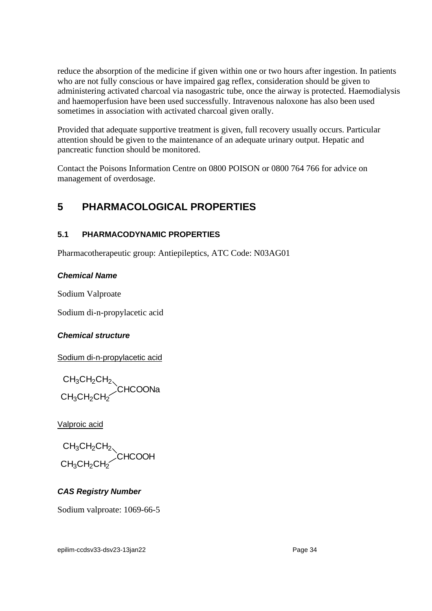reduce the absorption of the medicine if given within one or two hours after ingestion. In patients who are not fully conscious or have impaired gag reflex, consideration should be given to administering activated charcoal via nasogastric tube, once the airway is protected. Haemodialysis and haemoperfusion have been used successfully. Intravenous naloxone has also been used sometimes in association with activated charcoal given orally.

Provided that adequate supportive treatment is given, full recovery usually occurs. Particular attention should be given to the maintenance of an adequate urinary output. Hepatic and pancreatic function should be monitored.

Contact the Poisons Information Centre on 0800 POISON or 0800 764 766 for advice on management of overdosage.

# <span id="page-33-0"></span>**5 PHARMACOLOGICAL PROPERTIES**

# **5.1 PHARMACODYNAMIC PROPERTIES**

Pharmacotherapeutic group: Antiepileptics, ATC Code: N03AG01

# *Chemical Name*

Sodium Valproate

Sodium di-n-propylacetic acid

# *Chemical structure*

Sodium di-n-propylacetic acid

 $\mathsf{CH}_3\mathsf{CH}_2\mathsf{CH}_2$ . CHCOONa  $CH<sub>3</sub>CH<sub>2</sub>CH<sub>2</sub>$ 

Valproic acid

 $CH_3CH_2CH_2$ **CHCOOH**  $\mathsf{CH}_3\mathsf{CH}_2\mathsf{CH}_2$ 

# *CAS Registry Number*

Sodium valproate: 1069-66-5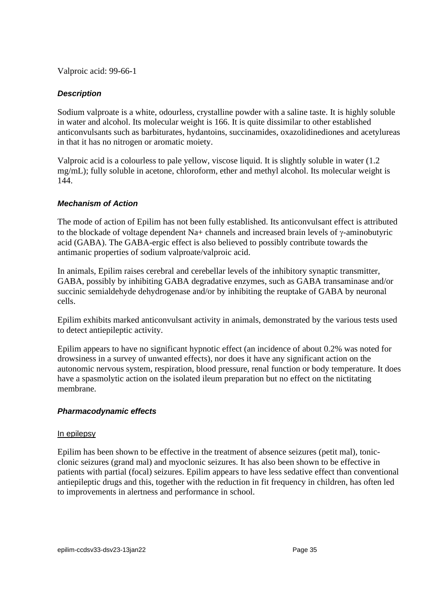Valproic acid: 99-66-1

## *Description*

Sodium valproate is a white, odourless, crystalline powder with a saline taste. It is highly soluble in water and alcohol. Its molecular weight is 166. It is quite dissimilar to other established anticonvulsants such as barbiturates, hydantoins, succinamides, oxazolidinediones and acetylureas in that it has no nitrogen or aromatic moiety.

Valproic acid is a colourless to pale yellow, viscose liquid. It is slightly soluble in water (1.2 mg/mL); fully soluble in acetone, chloroform, ether and methyl alcohol. Its molecular weight is 144.

## *Mechanism of Action*

The mode of action of Epilim has not been fully established. Its anticonvulsant effect is attributed to the blockade of voltage dependent Na+ channels and increased brain levels of  $\gamma$ -aminobutyric acid (GABA). The GABA-ergic effect is also believed to possibly contribute towards the antimanic properties of sodium valproate/valproic acid.

In animals, Epilim raises cerebral and cerebellar levels of the inhibitory synaptic transmitter, GABA, possibly by inhibiting GABA degradative enzymes, such as GABA transaminase and/or succinic semialdehyde dehydrogenase and/or by inhibiting the reuptake of GABA by neuronal cells.

Epilim exhibits marked anticonvulsant activity in animals, demonstrated by the various tests used to detect antiepileptic activity.

Epilim appears to have no significant hypnotic effect (an incidence of about 0.2% was noted for drowsiness in a survey of unwanted effects), nor does it have any significant action on the autonomic nervous system, respiration, blood pressure, renal function or body temperature. It does have a spasmolytic action on the isolated ileum preparation but no effect on the nictitating membrane.

## *Pharmacodynamic effects*

#### In epilepsy

Epilim has been shown to be effective in the treatment of absence seizures (petit mal), tonicclonic seizures (grand mal) and myoclonic seizures. It has also been shown to be effective in patients with partial (focal) seizures. Epilim appears to have less sedative effect than conventional antiepileptic drugs and this, together with the reduction in fit frequency in children, has often led to improvements in alertness and performance in school.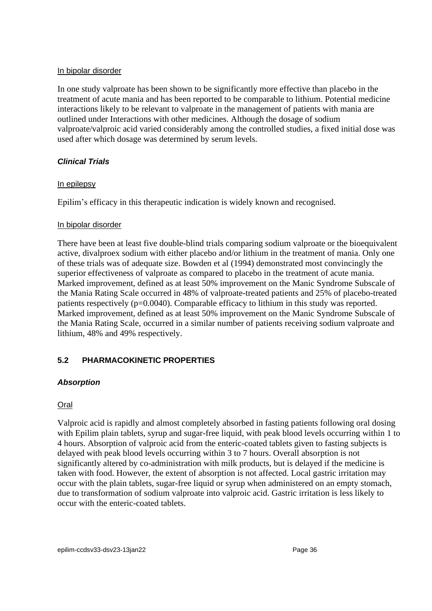#### In bipolar disorder

In one study valproate has been shown to be significantly more effective than placebo in the treatment of acute mania and has been reported to be comparable to lithium. Potential medicine interactions likely to be relevant to valproate in the management of patients with mania are outlined under Interactions with other medicines. Although the dosage of sodium valproate/valproic acid varied considerably among the controlled studies, a fixed initial dose was used after which dosage was determined by serum levels.

## *Clinical Trials*

## In epilepsy

Epilim's efficacy in this therapeutic indication is widely known and recognised.

## In bipolar disorder

There have been at least five double-blind trials comparing sodium valproate or the bioequivalent active, divalproex sodium with either placebo and/or lithium in the treatment of mania. Only one of these trials was of adequate size. Bowden et al (1994) demonstrated most convincingly the superior effectiveness of valproate as compared to placebo in the treatment of acute mania. Marked improvement, defined as at least 50% improvement on the Manic Syndrome Subscale of the Mania Rating Scale occurred in 48% of valproate-treated patients and 25% of placebo-treated patients respectively (p=0.0040). Comparable efficacy to lithium in this study was reported. Marked improvement, defined as at least 50% improvement on the Manic Syndrome Subscale of the Mania Rating Scale, occurred in a similar number of patients receiving sodium valproate and lithium, 48% and 49% respectively.

# <span id="page-35-0"></span>**5.2 PHARMACOKINETIC PROPERTIES**

## *Absorption*

# Oral

Valproic acid is rapidly and almost completely absorbed in fasting patients following oral dosing with Epilim plain tablets, syrup and sugar-free liquid, with peak blood levels occurring within 1 to 4 hours. Absorption of valproic acid from the enteric-coated tablets given to fasting subjects is delayed with peak blood levels occurring within 3 to 7 hours. Overall absorption is not significantly altered by co-administration with milk products, but is delayed if the medicine is taken with food. However, the extent of absorption is not affected. Local gastric irritation may occur with the plain tablets, sugar-free liquid or syrup when administered on an empty stomach, due to transformation of sodium valproate into valproic acid. Gastric irritation is less likely to occur with the enteric-coated tablets.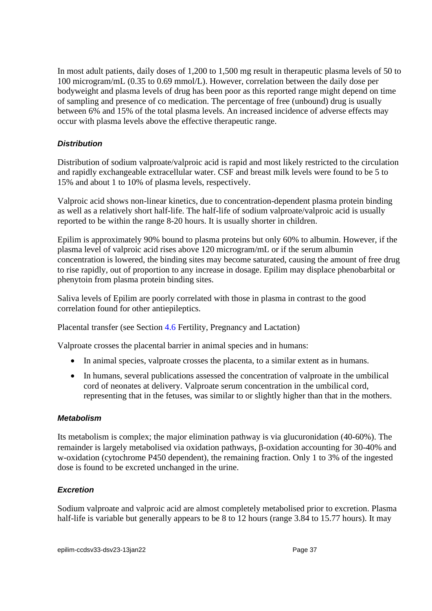In most adult patients, daily doses of 1,200 to 1,500 mg result in therapeutic plasma levels of 50 to 100 microgram/mL (0.35 to 0.69 mmol/L). However, correlation between the daily dose per bodyweight and plasma levels of drug has been poor as this reported range might depend on time of sampling and presence of co medication. The percentage of free (unbound) drug is usually between 6% and 15% of the total plasma levels. An increased incidence of adverse effects may occur with plasma levels above the effective therapeutic range.

## *Distribution*

Distribution of sodium valproate/valproic acid is rapid and most likely restricted to the circulation and rapidly exchangeable extracellular water. CSF and breast milk levels were found to be 5 to 15% and about 1 to 10% of plasma levels, respectively.

Valproic acid shows non-linear kinetics, due to concentration-dependent plasma protein binding as well as a relatively short half-life. The half-life of sodium valproate/valproic acid is usually reported to be within the range 8-20 hours. It is usually shorter in children.

Epilim is approximately 90% bound to plasma proteins but only 60% to albumin. However, if the plasma level of valproic acid rises above 120 microgram/mL or if the serum albumin concentration is lowered, the binding sites may become saturated, causing the amount of free drug to rise rapidly, out of proportion to any increase in dosage. Epilim may displace phenobarbital or phenytoin from plasma protein binding sites.

Saliva levels of Epilim are poorly correlated with those in plasma in contrast to the good correlation found for other antiepileptics.

Placental transfer (see Section [4.6](#page-21-0) Fertility, Pregnancy and Lactation)

Valproate crosses the placental barrier in animal species and in humans:

- In animal species, valproate crosses the placenta, to a similar extent as in humans.
- In humans, several publications assessed the concentration of valproate in the umbilical cord of neonates at delivery. Valproate serum concentration in the umbilical cord, representing that in the fetuses, was similar to or slightly higher than that in the mothers.

## *Metabolism*

Its metabolism is complex; the major elimination pathway is via glucuronidation (40-60%). The remainder is largely metabolised via oxidation pathways,  $\beta$ -oxidation accounting for 30-40% and w-oxidation (cytochrome P450 dependent), the remaining fraction. Only 1 to 3% of the ingested dose is found to be excreted unchanged in the urine.

# *Excretion*

Sodium valproate and valproic acid are almost completely metabolised prior to excretion. Plasma half-life is variable but generally appears to be 8 to 12 hours (range 3.84 to 15.77 hours). It may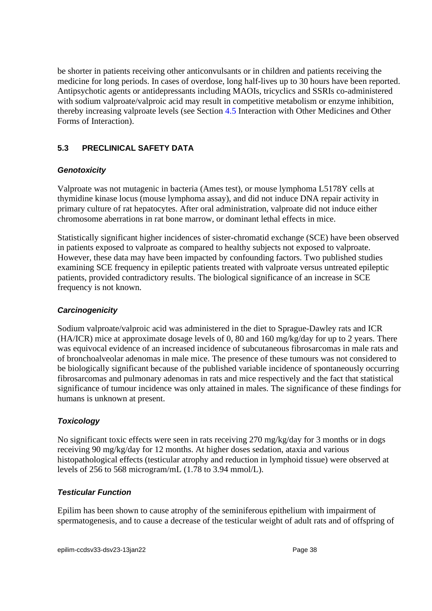be shorter in patients receiving other anticonvulsants or in children and patients receiving the medicine for long periods. In cases of overdose, long half-lives up to 30 hours have been reported. Antipsychotic agents or antidepressants including MAOIs, tricyclics and SSRIs co-administered with sodium valproate/valproic acid may result in competitive metabolism or enzyme inhibition, thereby increasing valproate levels (see Section [4.5](#page-14-0) Interaction with Other Medicines and Other Forms of Interaction).

# **5.3 PRECLINICAL SAFETY DATA**

# *Genotoxicity*

Valproate was not mutagenic in bacteria (Ames test), or mouse lymphoma L5178Y cells at thymidine kinase locus (mouse lymphoma assay), and did not induce DNA repair activity in primary culture of rat hepatocytes. After oral administration, valproate did not induce either chromosome aberrations in rat bone marrow, or dominant lethal effects in mice.

Statistically significant higher incidences of sister-chromatid exchange (SCE) have been observed in patients exposed to valproate as compared to healthy subjects not exposed to valproate. However, these data may have been impacted by confounding factors. Two published studies examining SCE frequency in epileptic patients treated with valproate versus untreated epileptic patients, provided contradictory results. The biological significance of an increase in SCE frequency is not known.

## *Carcinogenicity*

Sodium valproate/valproic acid was administered in the diet to Sprague-Dawley rats and ICR (HA/ICR) mice at approximate dosage levels of 0, 80 and 160 mg/kg/day for up to 2 years. There was equivocal evidence of an increased incidence of subcutaneous fibrosarcomas in male rats and of bronchoalveolar adenomas in male mice. The presence of these tumours was not considered to be biologically significant because of the published variable incidence of spontaneously occurring fibrosarcomas and pulmonary adenomas in rats and mice respectively and the fact that statistical significance of tumour incidence was only attained in males. The significance of these findings for humans is unknown at present.

## *Toxicology*

No significant toxic effects were seen in rats receiving 270 mg/kg/day for 3 months or in dogs receiving 90 mg/kg/day for 12 months. At higher doses sedation, ataxia and various histopathological effects (testicular atrophy and reduction in lymphoid tissue) were observed at levels of 256 to 568 microgram/mL (1.78 to 3.94 mmol/L).

## *Testicular Function*

Epilim has been shown to cause atrophy of the seminiferous epithelium with impairment of spermatogenesis, and to cause a decrease of the testicular weight of adult rats and of offspring of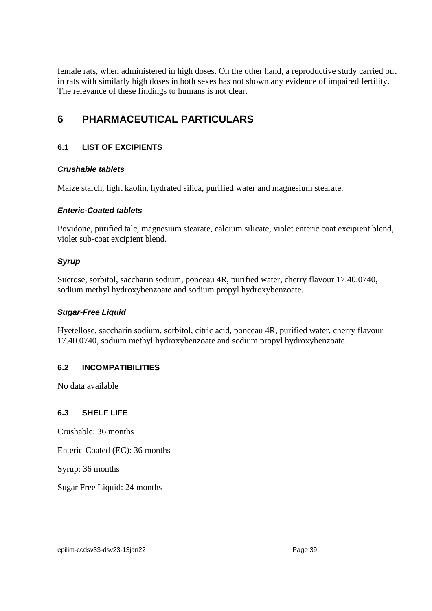female rats, when administered in high doses. On the other hand, a reproductive study carried out in rats with similarly high doses in both sexes has not shown any evidence of impaired fertility. The relevance of these findings to humans is not clear.

# <span id="page-38-0"></span>**6 PHARMACEUTICAL PARTICULARS**

# **6.1 LIST OF EXCIPIENTS**

## *Crushable tablets*

Maize starch, light kaolin, hydrated silica, purified water and magnesium stearate.

## *Enteric-Coated tablets*

Povidone, purified talc, magnesium stearate, calcium silicate, violet enteric coat excipient blend, violet sub-coat excipient blend.

# *Syrup*

Sucrose, sorbitol, saccharin sodium, ponceau 4R, purified water, cherry flavour 17.40.0740, sodium methyl hydroxybenzoate and sodium propyl hydroxybenzoate.

## *Sugar-Free Liquid*

Hyetellose, saccharin sodium, sorbitol, citric acid, ponceau 4R, purified water, cherry flavour 17.40.0740, sodium methyl hydroxybenzoate and sodium propyl hydroxybenzoate.

# **6.2 INCOMPATIBILITIES**

No data available

## **6.3 SHELF LIFE**

Crushable: 36 months

Enteric-Coated (EC): 36 months

Syrup: 36 months

Sugar Free Liquid: 24 months

epilim-ccdsv33-dsv23-13jan22 Page 39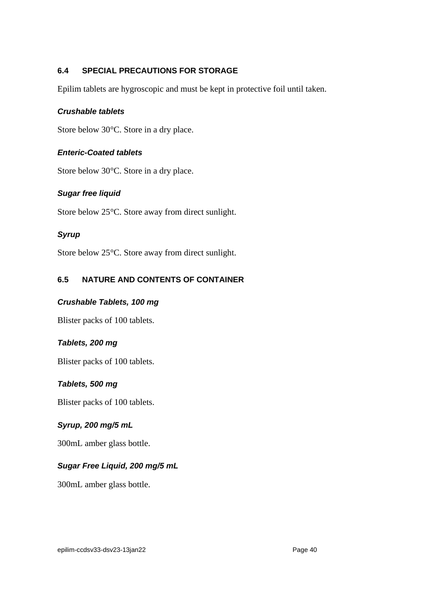## <span id="page-39-0"></span>**6.4 SPECIAL PRECAUTIONS FOR STORAGE**

Epilim tablets are hygroscopic and must be kept in protective foil until taken.

#### *Crushable tablets*

Store below 30°C. Store in a dry place.

#### *Enteric-Coated tablets*

Store below 30°C. Store in a dry place.

## *Sugar free liquid*

Store below 25°C. Store away from direct sunlight.

## *Syrup*

Store below 25°C. Store away from direct sunlight.

## **6.5 NATURE AND CONTENTS OF CONTAINER**

#### *Crushable Tablets, 100 mg*

Blister packs of 100 tablets.

## *Tablets, 200 mg*

Blister packs of 100 tablets.

## *Tablets, 500 mg*

Blister packs of 100 tablets.

## *Syrup, 200 mg/5 mL*

300mL amber glass bottle.

## *Sugar Free Liquid, 200 mg/5 mL*

300mL amber glass bottle.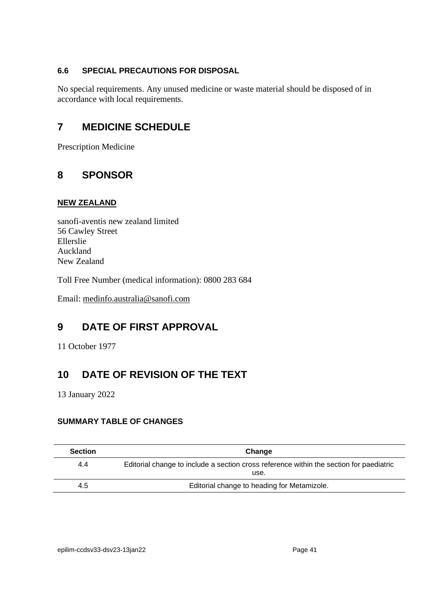# **6.6 SPECIAL PRECAUTIONS FOR DISPOSAL**

No special requirements. Any unused medicine or waste material should be disposed of in accordance with local requirements.

# **7 MEDICINE SCHEDULE**

Prescription Medicine

# **8 SPONSOR**

#### **NEW ZEALAND**

sanofi-aventis new zealand limited 56 Cawley Street Ellerslie Auckland New Zealand

Toll Free Number (medical information): 0800 283 684

Email: [medinfo.australia@sanofi.com](mailto:medinfo.australia@sanofi.com)

# **9 DATE OF FIRST APPROVAL**

11 October 1977

# **10 DATE OF REVISION OF THE TEXT**

13 January 2022

# **SUMMARY TABLE OF CHANGES**

| <b>Section</b> | Change                                                                                          |
|----------------|-------------------------------------------------------------------------------------------------|
| 4.4            | Editorial change to include a section cross reference within the section for paediatric<br>use. |
| 4.5            | Editorial change to heading for Metamizole.                                                     |